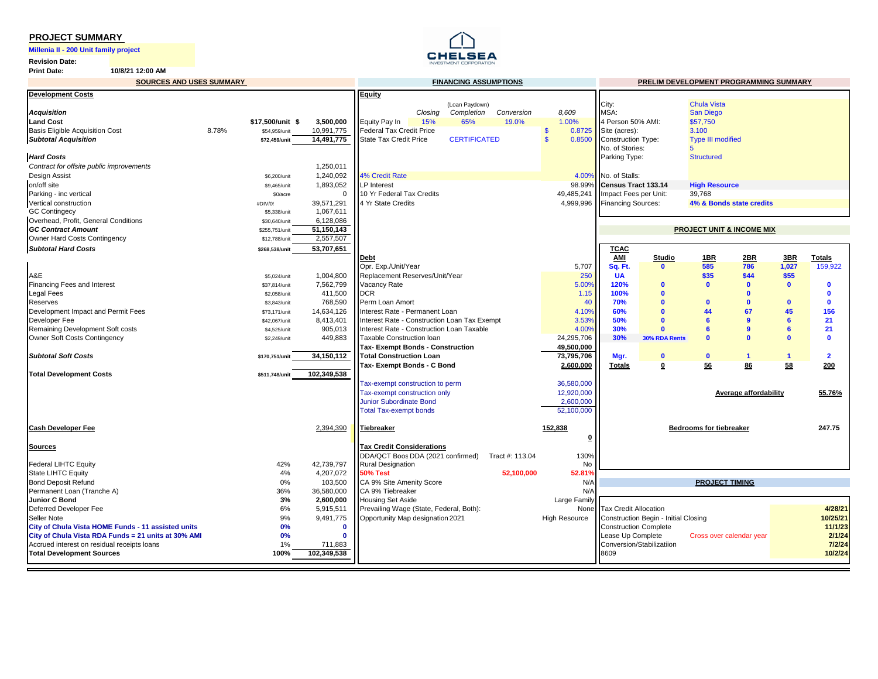#### **PROJECT SUMMARY**

**Millenia II - 200 Unit family project** 

**Revision Date:**

**Print Date: 10/8/21 12:00 AM**



| <b>SOURCES AND USES SUMMARY</b>                     |       |                         |                        | <b>FINANCING ASSUMPTIONS</b>                 |         |                     |                 |                         |                              | PRELIM DEVELOPMENT PROGRAMMING SUMMARY |                                      |                          |              |                         |
|-----------------------------------------------------|-------|-------------------------|------------------------|----------------------------------------------|---------|---------------------|-----------------|-------------------------|------------------------------|----------------------------------------|--------------------------------------|--------------------------|--------------|-------------------------|
| <b>Development Costs</b>                            |       |                         |                        | <b>Equity</b>                                |         |                     |                 |                         |                              |                                        |                                      |                          |              |                         |
|                                                     |       |                         |                        |                                              |         | (Loan Paydown)      |                 |                         | City:                        |                                        | <b>Chula Vista</b>                   |                          |              |                         |
| <b>Acquisition</b>                                  |       |                         |                        |                                              | Closing | Completion          | Conversion      | 8,609                   | MSA:                         |                                        | San Diego                            |                          |              |                         |
| <b>Land Cost</b>                                    |       | \$17.500/unit \$        | 3,500,000              | Equity Pay In                                | 15%     | 65%                 | 19.0%           | 1.00%                   | 4 Person 50% AMI:            |                                        | \$57,750                             |                          |              |                         |
| <b>Basis Eligible Acquisition Cost</b>              | 8.78% | \$54,959/unit           | 10,991,775             | <b>Federal Tax Credit Price</b>              |         |                     |                 | 0.8725<br>$\mathbf{s}$  | Site (acres):                |                                        | 3.100                                |                          |              |                         |
| <b>Subtotal Acquisition</b>                         |       | \$72.459/unit           | 14,491,775             | <b>State Tax Credit Price</b>                |         | <b>CERTIFICATED</b> |                 | $\mathbf{s}$<br>0.8500  | Construction Type:           |                                        | <b>Type III modified</b>             |                          |              |                         |
|                                                     |       |                         |                        |                                              |         |                     |                 |                         | No. of Stories:              |                                        | 5                                    |                          |              |                         |
| <b>Hard Costs</b>                                   |       |                         |                        |                                              |         |                     |                 |                         | Parking Type:                |                                        | <b>Structured</b>                    |                          |              |                         |
| Contract for offsite public improvements            |       |                         | 1,250,011              |                                              |         |                     |                 |                         |                              |                                        |                                      |                          |              |                         |
| <b>Design Assist</b>                                |       | \$6,200/unit            | 1,240,092              | <b>4% Credit Rate</b>                        |         |                     |                 |                         | 4.00% No. of Stalls:         |                                        |                                      |                          |              |                         |
| on/off site                                         |       | \$9,465/unit            | 1,893,052              | LP Interest<br>10 Yr Federal Tax Credits     |         |                     |                 | 98.99%                  | Census Tract 133.14          |                                        | <b>High Resource</b>                 |                          |              |                         |
| Parking - inc vertical<br>Vertical construction     |       | \$0/acre                | $\Omega$<br>39,571,291 | 4 Yr State Credits                           |         |                     |                 | 49,485,241<br>4,999,996 | Impact Fees per Unit:        |                                        | 39,768                               | 4% & Bonds state credits |              |                         |
| <b>GC Contingecy</b>                                |       | #DIV/0!<br>\$5,338/unit | 1,067,611              |                                              |         |                     |                 |                         | <b>Financing Sources:</b>    |                                        |                                      |                          |              |                         |
| Overhead, Profit, General Conditions                |       | \$30,640/unit           | 6,128,086              |                                              |         |                     |                 |                         |                              |                                        |                                      |                          |              |                         |
| <b>GC Contract Amount</b>                           |       | \$255,751/unit          | 51,150,143             |                                              |         |                     |                 |                         |                              |                                        | <b>PROJECT UNIT &amp; INCOME MIX</b> |                          |              |                         |
| Owner Hard Costs Contingency                        |       | \$12,788/unit           | 2,557,507              |                                              |         |                     |                 |                         |                              |                                        |                                      |                          |              |                         |
| <b>Subtotal Hard Costs</b>                          |       | \$268,538/unit          | 53,707,651             |                                              |         |                     |                 |                         | <b>TCAC</b>                  |                                        |                                      |                          |              |                         |
|                                                     |       |                         |                        | Debt                                         |         |                     |                 |                         | <b>AMI</b>                   | Studio                                 | 1B                                   | 2BR                      | 3BR          | <b>Totals</b>           |
|                                                     |       |                         |                        | Opr. Exp./Unit/Year                          |         |                     |                 | 5,707                   | Sq. Ft.                      | $\mathbf{0}$                           | 585                                  | 786                      | 1,027        | 159,922                 |
| A&E                                                 |       | \$5,024/unit            | 1,004,800              | Replacement Reserves/Unit/Year               |         |                     |                 | 250                     | <b>UA</b>                    |                                        | \$35                                 | \$44                     | \$55         |                         |
| Financing Fees and Interest                         |       | \$37,814/unit           | 7.562.799              | Vacancy Rate                                 |         |                     |                 | 5.00%                   | 120%                         | $\mathbf{0}$                           | $\mathbf{0}$                         | $\sqrt{2}$               | $\mathbf{0}$ | $\Omega$                |
| <b>Legal Fees</b>                                   |       | \$2,058/unit            | 411,500                | DCR                                          |         |                     |                 | 1.15                    | 100%                         | $\mathbf{0}$                           |                                      | $\mathbf{r}$             |              | $\Omega$                |
| <b>Reserves</b>                                     |       | \$3,843/unit            | 768,590                | Perm Loan Amort                              |         |                     |                 | 40                      | 70%                          | $\mathbf{0}$                           | $\mathbf{0}$                         | $\Omega$                 | $\mathbf{0}$ | $\mathbf{0}$            |
| Development Impact and Permit Fees                  |       | \$73,171/unit           | 14,634,126             | Interest Rate - Permanent Loan               |         |                     |                 | 4.10%                   | 60%                          | $\mathbf{0}$                           | 44                                   | 67                       | 45           | 156                     |
| Developer Fee                                       |       | \$42,067/unit           | 8.413.401              | Interest Rate - Construction Loan Tax Exempt |         |                     |                 | 3.53%                   | 50%                          | $\mathbf{0}$                           | 6                                    |                          | 6            | 21                      |
| Remaining Development Soft costs                    |       | \$4,525/unit            | 905,013                | Interest Rate - Construction Loan Taxable    |         |                     |                 | 4.00%                   | 30%                          | $\mathbf{0}$                           | 6                                    |                          | 6            | 21                      |
| Owner Soft Costs Contingency                        |       | \$2,249/unit            | 449,883                | Taxable Construction Ioan                    |         |                     |                 | 24,295,706              | 30%                          | 30% RDA Rents                          | $\mathbf{0}$                         |                          | Ō            | $\Omega$                |
|                                                     |       |                         |                        | Tax- Exempt Bonds - Construction             |         |                     |                 | 49,500,000              |                              |                                        |                                      |                          |              |                         |
| <b>Subtotal Soft Costs</b>                          |       | \$170,751/unit          | 34,150,112             | <b>Total Construction Loan</b>               |         |                     |                 | 73,795,706              | Mgr.                         | $\mathbf{0}$                           | $\mathbf{0}$                         | $\blacktriangleleft$     |              | $\overline{\mathbf{2}}$ |
|                                                     |       |                         |                        | Tax- Exempt Bonds - C Bond                   |         |                     |                 | 2,600,000               | <b>Totals</b>                | 0                                      | 56                                   | 86                       | 58           | 200                     |
| <b>Total Development Costs</b>                      |       | \$511.748/unit          | 102,349,538            |                                              |         |                     |                 |                         |                              |                                        |                                      |                          |              |                         |
|                                                     |       |                         |                        | Tax-exempt construction to perm              |         |                     |                 | 36,580,000              |                              |                                        |                                      |                          |              |                         |
|                                                     |       |                         |                        | Tax-exempt construction only                 |         |                     |                 | 12,920,000              |                              |                                        |                                      | Average affordability    |              | 55.76%                  |
|                                                     |       |                         |                        | <b>Junior Subordinate Bond</b>               |         |                     |                 | 2,600,000               |                              |                                        |                                      |                          |              |                         |
|                                                     |       |                         |                        | <b>Total Tax-exempt bonds</b>                |         |                     |                 | 52,100,000              |                              |                                        |                                      |                          |              |                         |
| <b>Cash Developer Fee</b>                           |       |                         | 2,394,390              | <b>Tiebreaker</b>                            |         |                     |                 | 152,838                 |                              |                                        | <b>Bedrooms for tiebreaker</b>       |                          |              | 247.75                  |
|                                                     |       |                         |                        |                                              |         |                     |                 | 0                       |                              |                                        |                                      |                          |              |                         |
| <b>Sources</b>                                      |       |                         |                        | <b>Tax Credit Considerations</b>             |         |                     |                 |                         |                              |                                        |                                      |                          |              |                         |
|                                                     |       |                         |                        | DDA/QCT Boos DDA (2021 confirmed)            |         |                     | Tract #: 113.04 | 130%                    |                              |                                        |                                      |                          |              |                         |
| <b>Federal LIHTC Equity</b>                         |       | 42%                     | 42,739,797             | <b>Rural Designation</b>                     |         |                     |                 | No                      |                              |                                        |                                      |                          |              |                         |
| <b>State LIHTC Equity</b>                           |       | 4%                      | 4,207,072              | <b>50% Test</b>                              |         |                     | 52,100,000      | 52.81%                  |                              |                                        |                                      |                          |              |                         |
| <b>Bond Deposit Refund</b>                          |       | 0%                      | 103,500                | CA 9% Site Amenity Score                     |         |                     |                 | N/A                     |                              |                                        | <b>PROJECT TIMING</b>                |                          |              |                         |
| Permanent Loan (Tranche A)                          |       | 36%                     | 36,580,000             | CA 9% Tiebreaker                             |         |                     |                 | N/A                     |                              |                                        |                                      |                          |              |                         |
| Junior C Bond                                       |       | 3%                      | 2,600,000              | <b>Housing Set Aside</b>                     |         |                     |                 | Large Family            |                              |                                        |                                      |                          |              |                         |
| Deferred Developer Fee                              |       | 6%                      | 5,915,511              | Prevailing Wage (State, Federal, Both):      |         |                     |                 | None                    | <b>Tax Credit Allocation</b> |                                        |                                      |                          |              | 4/28/21                 |
| Seller Note                                         |       | 9%                      | 9,491,775              | Opportunity Map designation 2021             |         |                     |                 | <b>High Resource</b>    |                              | Construction Begin - Initial Closing   |                                      |                          |              | 10/25/21                |
| City of Chula Vista HOME Funds - 11 assisted units  |       | 0%                      | $\Omega$               |                                              |         |                     |                 |                         | <b>Construction Complete</b> |                                        |                                      |                          |              | 11/1/23                 |
| City of Chula Vista RDA Funds = 21 units at 30% AMI |       | 0%                      | $\mathbf{0}$           |                                              |         |                     |                 |                         | Lease Up Complete            |                                        | Cross over calendar year             |                          |              | 2/1/24                  |
| Accrued interest on residual receipts loans         |       | 1%                      | 711,883                |                                              |         |                     |                 |                         | Conversion/Stabilizatiion    |                                        |                                      |                          |              | 7/2/24                  |
| <b>Total Development Sources</b>                    |       | 100%                    | 102,349,538            |                                              |         |                     |                 |                         | 8609                         |                                        |                                      |                          |              | 10/2/24                 |
|                                                     |       |                         |                        |                                              |         |                     |                 |                         |                              |                                        |                                      |                          |              |                         |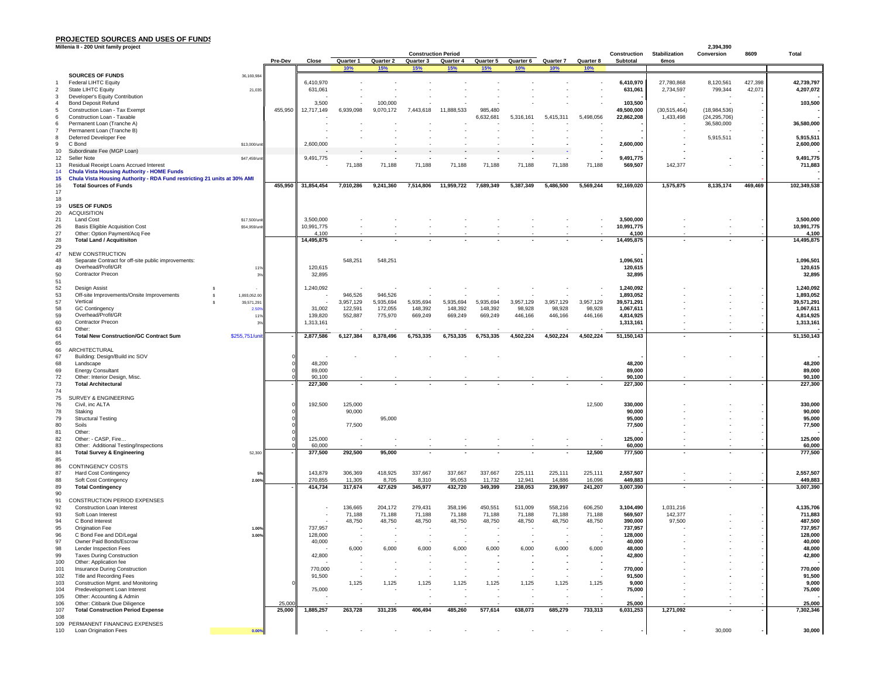#### **PROJECTED SOURCES AND USES OF FUNDS**

|            | Millenia II - 200 Unit family project                                                                     |                                |             |                         |                          |                          |                                         |                    |                          |                          |                          |                          |                          |                                     | 2,394,390                |         |                         |
|------------|-----------------------------------------------------------------------------------------------------------|--------------------------------|-------------|-------------------------|--------------------------|--------------------------|-----------------------------------------|--------------------|--------------------------|--------------------------|--------------------------|--------------------------|--------------------------|-------------------------------------|--------------------------|---------|-------------------------|
|            |                                                                                                           |                                | Pre-Dev     | Close                   | Quarter 1                | Quarter 2                | <b>Construction Period</b><br>Quarter 3 | Quarter 4          | Quarter 5                | Quarter 6                | Quarter 7                | Quarter 8                | Construction<br>Subtotal | <b>Stabilization</b><br><b>6mos</b> | Conversion               | 8609    | <b>Total</b>            |
|            |                                                                                                           |                                |             |                         | 10%                      | 15%                      | 15%                                     | 15%                | 15%                      | <b>10%</b>               | <b>10%</b>               | 10%                      |                          |                                     |                          |         |                         |
|            | <b>SOURCES OF FUNDS</b>                                                                                   | 36.169.984                     |             |                         |                          |                          |                                         |                    |                          |                          |                          |                          |                          |                                     |                          |         |                         |
|            | Federal LIHTC Equity                                                                                      |                                |             | 6,410,970               |                          |                          |                                         |                    |                          |                          |                          |                          | 6,410,970                | 27,780,868                          | 8,120,561                | 427,398 | 42,739,797              |
|            | State LIHTC Equity                                                                                        | 21,035                         |             | 631,061                 |                          |                          |                                         |                    |                          |                          |                          |                          | 631,061                  | 2,734,597                           | 799,344                  | 42,071  | 4,207,072               |
|            | Developer's Equity Contribution<br><b>Bond Deposit Refund</b>                                             |                                |             | 3,500                   |                          | 100,000                  |                                         |                    |                          |                          |                          |                          | 103,500                  |                                     |                          |         | 103,500                 |
|            | Construction Loan - Tax Exempt                                                                            |                                | 455,950     | 12,717,149              | 6,939,098                | 9,070,172                | 7,443,618                               | 11,888,533         | 985,480                  |                          |                          |                          | 49,500,000               | (30, 515, 464)                      | (18,984,536)             |         |                         |
|            | Construction Loan - Taxable                                                                               |                                |             |                         |                          |                          |                                         |                    | 6,632,681                | 5,316,161                | 5,415,311                | 5,498,056                | 22,862,208               | 1,433,498                           | (24, 295, 706)           |         |                         |
|            | Permanent Loan (Tranche A)                                                                                |                                |             |                         |                          |                          |                                         |                    |                          |                          |                          |                          |                          |                                     | 36,580,000               |         | 36,580,000              |
|            | Permanent Loan (Tranche B)<br>Deferred Developer Fee                                                      |                                |             |                         |                          |                          |                                         |                    |                          |                          |                          |                          |                          |                                     |                          |         |                         |
|            | C Bond                                                                                                    | \$13,000/unit                  |             | 2,600,000               |                          |                          |                                         |                    |                          |                          |                          |                          | 2,600,000                |                                     | 5,915,511                |         | 5,915,511<br>2,600,000  |
| 10         | Subordinate Fee (MGP Loan)                                                                                |                                |             |                         |                          |                          |                                         |                    |                          |                          |                          |                          |                          |                                     |                          |         |                         |
| 12         | Seller Note                                                                                               | \$47,459/unit                  |             | 9,491,775               |                          |                          |                                         |                    |                          |                          |                          |                          | 9,491,775                |                                     |                          |         | 9,491,775               |
| 13         | Residual Receipt Loans Accrued Interest                                                                   |                                |             |                         | 71,188                   | 71,188                   | 71,188                                  | 71,188             | 71,188                   | 71,188                   | 71,188                   | 71,188                   | 569,507                  | 142,377                             |                          |         | 711,883                 |
|            | <b>Chula Vista Housing Authority - HOME Funds</b>                                                         |                                |             |                         |                          |                          |                                         |                    |                          |                          |                          |                          |                          |                                     |                          |         |                         |
| 15<br>16   | Chula Vista Housing Authority - RDA Fund restricting 21 units at 30% AMI<br><b>Total Sources of Funds</b> |                                |             | 455,950 31,854,454      | 7,010,286                | 9,241,360                | 7,514,806                               | 11,959,722         | 7,689,349                | 5,387,349                | 5,486,500                | 5,569,244                | 92,169,020               | 1,575,875                           | 8,135,174                | 469,469 | 102,349,538             |
| 17         |                                                                                                           |                                |             |                         |                          |                          |                                         |                    |                          |                          |                          |                          |                          |                                     |                          |         |                         |
| 18         |                                                                                                           |                                |             |                         |                          |                          |                                         |                    |                          |                          |                          |                          |                          |                                     |                          |         |                         |
| 19         | <b>USES OF FUNDS</b>                                                                                      |                                |             |                         |                          |                          |                                         |                    |                          |                          |                          |                          |                          |                                     |                          |         |                         |
| 20         | <b>ACQUISITION</b>                                                                                        |                                |             |                         |                          |                          |                                         |                    |                          |                          |                          |                          |                          |                                     |                          |         |                         |
| 21         | Land Cost<br><b>Basis Eligible Acquisition Cost</b>                                                       | \$17,500/unit<br>\$54,959/unit |             | 3,500,000<br>10,991,775 |                          |                          |                                         |                    |                          |                          |                          |                          | 3,500,000<br>10,991,775  |                                     | $\overline{\phantom{a}}$ |         | 3,500,000<br>10,991,775 |
| 26<br>27   | Other: Option Payment/Acq Fee                                                                             |                                |             | 4,100                   |                          |                          |                                         |                    |                          |                          |                          |                          | 4,100                    |                                     |                          |         | 4,100                   |
| 28         | <b>Total Land / Acquitisiton</b>                                                                          |                                |             | 14,495,875              |                          |                          |                                         |                    |                          |                          |                          |                          | 14,495,875               |                                     |                          |         | 14,495,875              |
| 29         |                                                                                                           |                                |             |                         |                          |                          |                                         |                    |                          |                          |                          |                          |                          |                                     |                          |         |                         |
| 47         | NEW CONSTRUCTION                                                                                          |                                |             |                         |                          |                          |                                         |                    |                          |                          |                          |                          |                          |                                     |                          |         |                         |
| 48<br>49   | Separate Contract for off-site public improvements:<br>Overhead/Profit/GR                                 |                                |             | 120,615                 | 548,251                  | 548,251                  |                                         |                    |                          |                          |                          |                          | 1,096,501                |                                     |                          |         | 1,096,501<br>120,615    |
| 50         | <b>Contractor Precon</b>                                                                                  | 11%<br>3%                      |             | 32,895                  |                          |                          |                                         |                    |                          |                          |                          |                          | 120,615<br>32,895        |                                     |                          |         | 32,895                  |
| 51         |                                                                                                           |                                |             |                         |                          |                          |                                         |                    |                          |                          |                          |                          |                          |                                     |                          |         |                         |
| 52         | Design Assist                                                                                             |                                |             | 1,240,092               |                          |                          |                                         |                    |                          |                          |                          |                          | 1,240,092                |                                     |                          |         | 1,240,092               |
| 53         | Off-site Improvements/Onsite Improvements                                                                 | 1,893,052.00                   |             |                         | 946,526                  | 946,526                  |                                         |                    |                          |                          |                          |                          | 1,893,052                |                                     |                          |         | 1,893,052               |
| 57         | Vertical                                                                                                  | 39,571,291                     |             |                         | 3,957,129                | 5,935,694                | 5,935,694                               | 5,935,694          | 5,935,694                | 3,957,129                | 3,957,129                | 3,957,129                | 39,571,291               |                                     |                          |         | 39,571,291              |
| 58<br>59   | <b>GC Contingency</b><br>Overhead/Profit/GR                                                               | 2.50<br>119                    |             | 31,002<br>139,820       | 122,591<br>552,887       | 172,055<br>775,970       | 148,392<br>669,249                      | 148,392<br>669,249 | 148,392<br>669,249       | 98,928<br>446,166        | 98,928<br>446,166        | 98,928<br>446,166        | 1,067,611<br>4,814,925   |                                     |                          |         | 1,067,611<br>4,814,925  |
| 60         | Contractor Precon                                                                                         | 3%                             |             | 1,313,161               |                          |                          |                                         |                    |                          |                          |                          |                          | 1,313,161                |                                     |                          |         | 1,313,161               |
| 63         | Other:                                                                                                    |                                |             |                         |                          |                          |                                         |                    |                          |                          |                          |                          |                          |                                     |                          |         |                         |
| 64         | <b>Total New Construction/GC Contract Sum</b>                                                             | \$255,751/uni                  |             | 2,877,586               | 6,127,384                | 8,378,496                | 6,753,335                               | 6,753,335          | 6,753,335                | 4,502,224                | 4,502,224                | 4,502,224                | 51,150,143               |                                     |                          |         | 51,150,143              |
| 65         |                                                                                                           |                                |             |                         |                          |                          |                                         |                    |                          |                          |                          |                          |                          |                                     |                          |         |                         |
| 66         | <b>ARCHITECTURAL</b><br>Building: Design/Build inc SOV                                                    |                                |             |                         |                          |                          |                                         |                    |                          |                          |                          |                          |                          |                                     |                          |         |                         |
| 67<br>68   | Landscape                                                                                                 |                                |             | 48,200                  |                          |                          |                                         |                    |                          |                          |                          |                          | 48,200                   |                                     |                          |         | 48,200                  |
| 69         | <b>Energy Consultant</b>                                                                                  |                                | $\Omega$    | 89,000                  |                          |                          |                                         |                    |                          |                          |                          |                          | 89,000                   |                                     |                          |         | 89,000                  |
| $72\,$     | Other: Interior Design, Misc.                                                                             |                                | $\Omega$    | 90,100                  |                          |                          |                                         |                    |                          |                          |                          |                          | 90,100                   |                                     |                          |         | 90,100                  |
| 73         | <b>Total Architectural</b>                                                                                |                                |             | 227,300                 |                          |                          |                                         |                    |                          |                          |                          |                          | 227,300                  |                                     |                          |         | 227,300                 |
| 74         |                                                                                                           |                                |             |                         |                          |                          |                                         |                    |                          |                          |                          |                          |                          |                                     |                          |         |                         |
| 75         | SURVEY & ENGINEERING                                                                                      |                                |             |                         | 125,000                  |                          |                                         |                    |                          |                          |                          | 12,500                   |                          |                                     |                          |         | 330,000                 |
| 76<br>78   | Civil, inc ALTA<br>Staking                                                                                |                                |             | 192,500                 | 90,000                   |                          |                                         |                    |                          |                          |                          |                          | 330,000<br>90,000        |                                     |                          |         | 90,000                  |
| 79         | <b>Structural Testing</b>                                                                                 |                                | 0           |                         |                          | 95,000                   |                                         |                    |                          |                          |                          |                          | 95,000                   |                                     |                          |         | 95,000                  |
| 80         | Soils                                                                                                     |                                | $\mathbf 0$ |                         | 77,500                   |                          |                                         |                    |                          |                          |                          |                          | 77,500                   |                                     |                          |         | 77,500                  |
| 81         | Other:                                                                                                    |                                |             |                         |                          |                          |                                         |                    |                          |                          |                          |                          |                          |                                     |                          |         |                         |
| 82         | Other: - CASP, Fire                                                                                       |                                | $\mathbf 0$ | 125,000                 |                          |                          |                                         |                    |                          |                          |                          |                          | 125,000                  |                                     |                          |         | 125,000                 |
| 83<br>84   | Other: Additional Testing/Inspections<br><b>Total Survey &amp; Engineering</b>                            | 52,300                         |             | 60,000<br>377,500       | 292,500                  | 95,000                   |                                         |                    |                          |                          |                          | 12,500                   | 60,000<br>777,500        |                                     |                          |         | 60,000<br>777,500       |
| 85         |                                                                                                           |                                |             |                         |                          |                          |                                         |                    |                          |                          |                          |                          |                          |                                     |                          |         |                         |
| 86         | CONTINGENCY COSTS                                                                                         |                                |             |                         |                          |                          |                                         |                    |                          |                          |                          |                          |                          |                                     |                          |         |                         |
| 87         | Hard Cost Contingency                                                                                     | 5%                             |             | 143,879                 | 306,369                  | 418,925                  | 337,667                                 | 337,667            | 337,667                  | 225,111                  | 225,111                  | 225,111                  | 2,557,507                |                                     |                          |         | 2,557,507               |
| 88         | Soft Cost Contingency                                                                                     | 2.00%                          |             | 270,855                 | 11,305                   | 8,705                    | 8,310                                   | 95,053             | 11,732                   | 12,941                   | 14,886                   | 16,096                   | 449,883                  |                                     |                          |         | 449,883                 |
| 89<br>90   | <b>Total Contingency</b>                                                                                  |                                |             | 414,734                 | 317,674                  | 427,629                  | 345,977                                 | 432,720            | 349,399                  | 238,053                  | 239,997                  | 241,207                  | 3,007,390                |                                     |                          |         | 3,007,390               |
| 91         | CONSTRUCTION PERIOD EXPENSES                                                                              |                                |             |                         |                          |                          |                                         |                    |                          |                          |                          |                          |                          |                                     |                          |         |                         |
| 92         | Construction Loan Interest                                                                                |                                |             |                         | 136,665                  | 204,172                  | 279,431                                 | 358,196            | 450,551                  | 511,009                  | 558,216                  | 606,250                  | 3,104,490                | 1,031,216                           |                          |         | 4,135,706               |
| 93         | Soft Loan Interest                                                                                        |                                |             |                         | 71,188                   | 71,188                   | 71,188                                  | 71,188             | 71,188                   | 71,188                   | 71,188                   | 71,188                   | 569,507                  | 142,377                             |                          |         | 711,883                 |
| 94         | C Bond Interest                                                                                           |                                |             |                         | 48,750                   | 48,750                   | 48,750                                  | 48,750             | 48,750                   | 48,750                   | 48,750                   | 48,750                   | 390,000                  | 97,500                              |                          |         | 487,500                 |
| 95         | Origination Fee                                                                                           | 1.00%                          |             | 737,957                 |                          |                          |                                         |                    |                          |                          |                          |                          | 737,957                  |                                     |                          |         | 737,957                 |
| 96         | C Bond Fee and DD/Legal                                                                                   | 3.00%                          |             | 128,000                 |                          |                          |                                         |                    |                          |                          |                          |                          | 128,000                  |                                     |                          |         | 128,000                 |
| 97<br>98   | Owner Paid Bonds/Escr<br>Lender Inspection Fees                                                           |                                |             | 40,000                  | 6,000                    | 6,000                    | 6,000                                   | 6,000              | 6,000                    | 6,000                    | 6,000                    | 6,000                    | 40,000<br>48,000         |                                     |                          |         | 40,000<br>48,000        |
| 99         | <b>Taxes During Construction</b>                                                                          |                                |             | 42,800                  |                          |                          |                                         |                    |                          |                          |                          |                          | 42,800                   |                                     |                          |         | 42,800                  |
| 100        | Other: Application fee                                                                                    |                                |             |                         |                          |                          |                                         |                    | $\overline{\phantom{a}}$ | $\overline{\phantom{a}}$ |                          |                          |                          |                                     |                          |         |                         |
| 101        | Insurance During Construction                                                                             |                                |             | 770,000                 | $\overline{\phantom{a}}$ | $\overline{\phantom{a}}$ | $\overline{\phantom{a}}$                |                    | $\overline{\phantom{a}}$ | $\overline{\phantom{a}}$ | $\overline{\phantom{a}}$ | $\overline{\phantom{a}}$ | 770,000                  |                                     |                          |         | 770,000                 |
| 102        | Title and Recording Fees                                                                                  |                                |             | 91,500                  |                          |                          |                                         |                    | $\overline{\phantom{a}}$ |                          |                          |                          | 91,500                   |                                     |                          |         | 91,500                  |
| 103        | Construction Mgmt. and Monitoring                                                                         |                                |             |                         | 1,125                    | 1,125                    | 1,125                                   | 1,125              | 1,125                    | 1,125                    | 1,125                    | 1,125                    | 9,000                    |                                     |                          |         | 9,000                   |
| 104<br>105 | Predevelopment Loan Interest<br>Other: Accounting & Admin                                                 |                                |             | 75,000                  |                          |                          | $\tilde{\phantom{a}}$                   |                    |                          | $\tilde{\phantom{a}}$    |                          |                          | 75,000                   |                                     |                          |         | 75,000                  |
| 106        | Other: Citibank Due Diligence                                                                             |                                | 25,000      |                         |                          |                          |                                         |                    |                          |                          |                          |                          | 25,000                   |                                     |                          |         | 25,000                  |
| 107        | <b>Total Construction Period Expense</b>                                                                  |                                | 25,000      | 1,885,257               | 263,728                  | 331,235                  | 406,494                                 | 485,260            | 577,614                  | 638,073                  | 685,279                  | 733,313                  | 6,031,253                | 1,271,092                           | $\blacksquare$           |         | 7,302,346               |
| 108        |                                                                                                           |                                |             |                         |                          |                          |                                         |                    |                          |                          |                          |                          |                          |                                     |                          |         |                         |
|            | 109 PERMANENT FINANCING EXPENSES                                                                          |                                |             |                         |                          |                          |                                         |                    |                          |                          |                          |                          |                          |                                     |                          |         |                         |
| 110        | Loan Origination Fees                                                                                     | 0.00%                          |             |                         |                          |                          |                                         |                    |                          |                          |                          |                          |                          |                                     | 30,000                   |         | 30,000                  |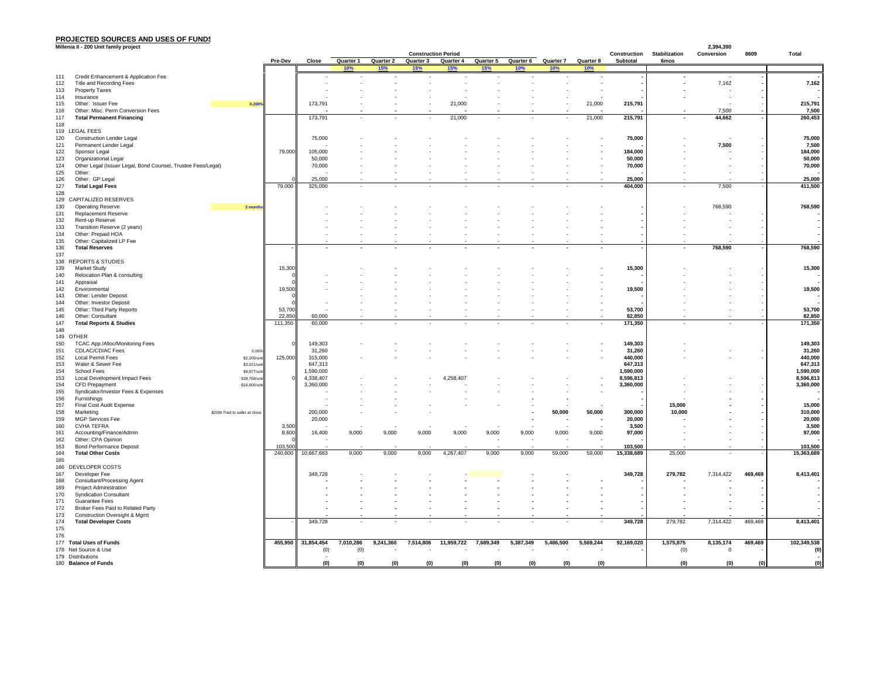## **PROJECTED SOURCES AND USES OF FUNDS Millenia II - 200 Unit family project**

|                       | Millenia II - 200 Unit family project                        |                                |         |                    |                          |                  |                            |                      |           |           |                            |           |                        |                      | 2,394,390   |         |                        |
|-----------------------|--------------------------------------------------------------|--------------------------------|---------|--------------------|--------------------------|------------------|----------------------------|----------------------|-----------|-----------|----------------------------|-----------|------------------------|----------------------|-------------|---------|------------------------|
|                       |                                                              |                                |         |                    |                          |                  | <b>Construction Period</b> |                      |           |           |                            |           | Construction           | <b>Stabilization</b> | Conversion  | 8609    | Total                  |
|                       |                                                              |                                | Pre-Dev | Close              | Quarter 1                | Quarter 2<br>15% | Quarter 3<br>15%           | Quarter 4<br>15%     | Quarter 5 | 10%       | Quarter 6 Quarter 7<br>10% | Quarter 8 | Subtotal               | 6mos                 |             |         |                        |
| 111                   | Credit Enhancement & Application Fee                         |                                |         |                    |                          |                  |                            |                      |           |           |                            |           |                        |                      |             |         |                        |
| 112                   | Title and Recording Fees                                     |                                |         |                    |                          |                  |                            |                      |           |           |                            |           |                        |                      | 7,162       |         | 7,162                  |
| 113                   | <b>Property Taxes</b>                                        |                                |         |                    |                          |                  |                            |                      |           |           |                            |           |                        |                      |             |         |                        |
| 114                   | Insurance                                                    |                                |         |                    |                          |                  |                            |                      |           |           |                            |           |                        |                      |             |         |                        |
| 115                   | Other: Issuer Fee                                            | 0.200%                         |         | 173,791            |                          |                  |                            | 21,000               |           |           |                            | 21,000    | 215,791                |                      |             |         | 215,791                |
| 116                   | Other: Misc. Perm Conversion Fees                            |                                |         |                    |                          |                  |                            |                      |           |           |                            |           |                        |                      | 7,500       |         | 7,500                  |
| 117                   | <b>Total Permanent Financing</b>                             |                                |         | 173,791            | $\overline{\phantom{a}}$ |                  |                            | 21,000               |           | $\sim$    |                            | 21,000    | 215,791                |                      | 44,662      |         | 260,453                |
| 118<br>119 LEGAL FEES |                                                              |                                |         |                    |                          |                  |                            |                      |           |           |                            |           |                        |                      |             |         |                        |
| 120                   | <b>Construction Lender Legal</b>                             |                                |         | 75,000             |                          |                  |                            |                      |           |           |                            |           | 75,000                 |                      |             |         | 75,000                 |
| 121                   | Permanent Lender Legal                                       |                                |         |                    |                          |                  |                            |                      |           |           |                            |           |                        |                      | 7,500       |         | 7,500                  |
| 122                   | Sponsor Legal                                                |                                | 79,000  | 105,000            |                          |                  |                            |                      |           |           |                            |           | 184,000                |                      |             |         | 184,000                |
| 123                   | Organizational Legal                                         |                                |         | 50,000             |                          |                  |                            |                      |           |           |                            |           | 50,000                 |                      |             |         | 50,000                 |
| 124                   | Other Legal (Issuer Legal, Bond Counsel, Trustee Fees/Legal) |                                |         | 70,000             |                          |                  |                            |                      |           |           |                            |           | 70,000                 |                      |             |         | 70,000                 |
| 125                   | Other:                                                       |                                |         |                    |                          |                  |                            |                      |           |           |                            |           |                        |                      |             |         |                        |
| 126                   | Other: GP Legal                                              |                                |         | 25,000             |                          |                  |                            |                      |           |           |                            |           | 25,000                 |                      |             |         | 25,000                 |
| 127                   | <b>Total Legal Fees</b>                                      |                                | 79,000  | 325,000            |                          |                  |                            |                      |           |           |                            |           | 404,000                |                      | 7,500       |         | 411,500                |
| 128                   |                                                              |                                |         |                    |                          |                  |                            |                      |           |           |                            |           |                        |                      |             |         |                        |
| 130                   | 129 CAPITALIZED RESERVES                                     |                                |         |                    |                          |                  |                            |                      |           |           |                            |           |                        |                      | 768,590     |         | 768,590                |
| 131                   | <b>Operating Reserve</b><br>Replacement Reserve              | 3 month                        |         |                    |                          |                  |                            |                      |           |           |                            |           |                        |                      |             |         |                        |
| 132                   | Rent-up Reserve                                              |                                |         |                    |                          |                  |                            |                      |           |           |                            |           |                        |                      |             |         |                        |
| 133                   | Transition Reserve (2 years)                                 |                                |         |                    |                          |                  |                            |                      |           |           |                            |           |                        |                      |             |         |                        |
| 134                   | Other: Prepaid HOA                                           |                                |         |                    |                          |                  |                            |                      |           |           |                            |           |                        |                      |             |         |                        |
| 135                   | Other: Capitalized LP Fee                                    |                                |         |                    |                          |                  |                            |                      |           |           |                            |           |                        |                      |             |         |                        |
| 136                   | <b>Total Reserves</b>                                        |                                |         |                    |                          |                  |                            |                      |           |           |                            |           |                        |                      | 768,590     |         | 768,590                |
| 137                   |                                                              |                                |         |                    |                          |                  |                            |                      |           |           |                            |           |                        |                      |             |         |                        |
|                       | 138 REPORTS & STUDIES                                        |                                |         |                    |                          |                  |                            |                      |           |           |                            |           |                        |                      |             |         |                        |
| 139                   | <b>Market Study</b>                                          |                                | 15,300  |                    |                          |                  |                            |                      |           |           |                            |           | 15,300                 |                      |             |         | 15,300                 |
| 140                   | Relocation Plan & consulting                                 |                                |         |                    |                          |                  |                            |                      |           |           |                            |           |                        |                      |             |         |                        |
| 141                   | Appraisal                                                    |                                |         |                    |                          |                  |                            |                      |           |           |                            |           |                        |                      |             |         |                        |
| 142                   | Environmental                                                |                                | 19,500  |                    |                          |                  |                            |                      |           |           |                            |           | 19,500                 |                      |             |         | 19,500                 |
| 143<br>144            | Other: Lender Deposit<br>Other: Investor Deposit             |                                |         |                    |                          |                  |                            |                      |           |           |                            |           |                        |                      |             |         |                        |
| 145                   | Other: Third Party Reports                                   |                                | 53,700  |                    |                          |                  |                            |                      |           |           |                            |           | 53,700                 |                      |             |         | 53,700                 |
| 146                   | Other: Consultant                                            |                                | 22,850  | 60,000             |                          |                  |                            |                      |           |           |                            |           | 82,850                 |                      |             |         | 82,850                 |
| 147                   | <b>Total Reports &amp; Studies</b>                           |                                | 111,350 | 60,000             |                          |                  |                            |                      |           |           |                            |           | 171,350                |                      |             |         | 171,350                |
| 148                   |                                                              |                                |         |                    |                          |                  |                            |                      |           |           |                            |           |                        |                      |             |         |                        |
| 149 OTHER             |                                                              |                                |         |                    |                          |                  |                            |                      |           |           |                            |           |                        |                      |             |         |                        |
| 150                   | TCAC App./Alloc/Monitoring Fees                              |                                |         | 149,303            |                          |                  |                            |                      |           |           |                            |           | 149,303                |                      |             |         | 149,303                |
| 151                   | <b>CDLAC/CDIAC Fees</b>                                      | 0.06%                          |         | 31,260             |                          |                  |                            |                      |           |           |                            |           | 31,260                 |                      |             |         | 31,260                 |
| 152                   | Local Permit Fees                                            | \$2,200/unit                   | 125,000 | 315,000            |                          |                  |                            |                      |           |           |                            |           | 440,000                |                      |             |         | 440,000                |
| 153                   | Water & Sewer Fee                                            | \$3,021/unit                   |         | 647,313            |                          |                  |                            |                      |           |           |                            |           | 647,313                |                      |             |         | 647,313                |
| 154                   | School Fees                                                  | \$9,877/uni                    |         | 1,590,000          |                          |                  |                            |                      |           |           |                            |           | 1,590,000              |                      |             |         | 1,590,000              |
| 153                   | Local Development Impact Fees                                | \$39,768/uni                   |         | 4,338,407          |                          |                  |                            | 4,258,407            |           |           |                            |           | 8,596,813<br>3,360,000 |                      |             |         | 8,596,813<br>3,360,000 |
| 154<br>155            | <b>CFD Prepayment</b><br>Syndicator/Investor Fees & Expenses | \$16,800/un                    |         | 3,360,000          |                          |                  |                            |                      |           |           |                            |           |                        |                      |             |         |                        |
| 156                   | Furnishings                                                  |                                |         |                    |                          |                  |                            |                      |           |           |                            |           |                        |                      |             |         |                        |
| 157                   | Final Cost Audit Expense                                     |                                |         |                    |                          |                  |                            |                      |           |           |                            |           |                        | 15,000               |             |         | 15,000                 |
| 158                   | Marketing                                                    | \$200k Paid to seller at close |         | 200,000            |                          |                  |                            |                      |           |           | 50,000                     | 50,000    | 300,000                | 10,000               |             |         | 310,000                |
| 159                   | MGP Services Fee                                             |                                |         | 20,000             |                          |                  |                            |                      |           |           |                            |           | 20,000                 |                      |             |         | 20,000                 |
| 160                   | <b>CVHA TEFRA</b>                                            |                                | 3,500   |                    |                          |                  |                            |                      |           |           |                            |           | 3,500                  |                      |             |         | 3,500                  |
| 161                   | Accounting/Finance/Admin                                     |                                | 8,600   | 16,400             | 9,000                    | 9,000            | 9,000                      | 9,000                | 9,000     | 9,000     | 9,000                      | 9,000     | 97,000                 |                      |             |         | 97,000                 |
| 162                   | Other: CPA Opinion                                           |                                |         |                    |                          |                  |                            |                      |           |           |                            |           |                        |                      |             |         |                        |
| 163                   | <b>Bond Performance Deposit</b>                              |                                | 103,500 |                    |                          |                  |                            |                      |           |           |                            |           | 103,500                |                      |             |         | 103,500                |
| 164                   | <b>Total Other Costs</b>                                     |                                | 240,600 | 10,667,683         | 9,000                    | 9,000            | 9,000                      | 4,267,407            | 9,000     | 9,000     | 59,000                     | 59,000    | 15,338,689             | 25,000               |             |         | 15,363,689             |
| 165                   |                                                              |                                |         |                    |                          |                  |                            |                      |           |           |                            |           |                        |                      |             |         |                        |
| 167                   | 166 DEVELOPER COSTS<br>Developer Fee                         |                                |         | 349,728            |                          |                  |                            |                      |           |           |                            |           |                        | 279,782              | 7,314,422   |         | 8,413,401              |
| 168                   | Consultant/Processing Agent                                  |                                |         |                    |                          |                  |                            |                      |           |           |                            |           | 349,728                |                      |             | 469,469 |                        |
| 169                   | <b>Project Administration</b>                                |                                |         |                    |                          |                  |                            |                      |           |           |                            |           |                        |                      |             |         |                        |
| 170                   | <b>Syndication Consultant</b>                                |                                |         |                    |                          |                  |                            |                      |           |           |                            |           |                        |                      |             |         |                        |
| 171                   | <b>Guarantee Fees</b>                                        |                                |         |                    |                          |                  |                            |                      |           |           |                            |           |                        |                      |             |         |                        |
| 172                   | Broker Fees Paid to Related Party                            |                                |         |                    |                          |                  |                            |                      |           |           |                            |           |                        |                      |             |         |                        |
| 173                   | Construction Oversight & Mgmt                                |                                |         |                    |                          |                  |                            |                      |           |           |                            |           |                        |                      |             |         |                        |
| 174                   | <b>Total Developer Costs</b>                                 |                                |         | 349,728            |                          |                  |                            |                      |           |           |                            |           | 349,728                | 279,782              | 7,314,422   | 469,469 | 8,413,401              |
| 175                   |                                                              |                                |         |                    |                          |                  |                            |                      |           |           |                            |           |                        |                      |             |         |                        |
| 176                   |                                                              |                                |         |                    |                          |                  |                            |                      |           |           |                            |           |                        |                      |             |         |                        |
|                       | 177 Total Uses of Funds                                      |                                |         | 455,950 31,854,454 | 7,010,286                | 9,241,360        | 7,514,806                  | 11,959,722 7,689,349 |           | 5,387,349 | 5,486,500                  | 5,569,244 | 92,169,020             | 1,575,875            | 8,135,174   | 469,469 | 102,349,538            |
|                       | 178 Net Source & Use                                         |                                |         | (0)                | (0)                      |                  |                            |                      |           |           |                            |           |                        | (0)                  | $\mathbf 0$ |         | (0)                    |
| 179 Distributions     |                                                              |                                |         | (0)                |                          |                  |                            |                      |           | (0)       |                            |           |                        |                      | (0)         |         |                        |
|                       | 180 Balance of Funds                                         |                                |         |                    | (0)                      | (0)              | (0)                        | (0)                  | (0)       |           | (0)                        | (0)       |                        | (0)                  |             | (0)     | (0)                    |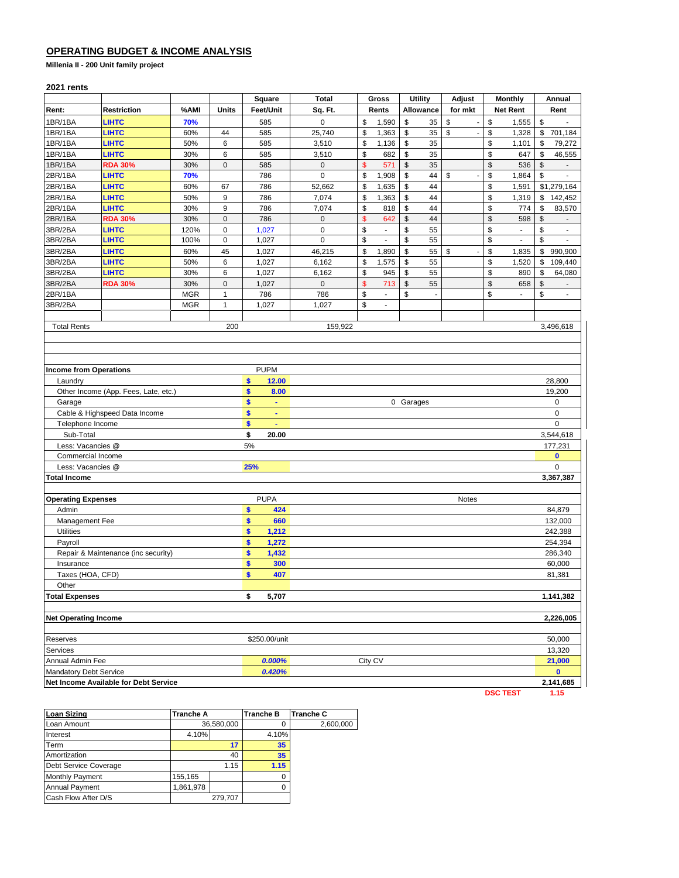## **OPERATING BUDGET & INCOME ANALYSIS**

**Millenia II - 200 Unit family project** 

### **2021 rents**

|                               |                                       |            |              | Square                   | <b>Total</b> | Gross                                            |                | <b>Utility</b> |                | Adjust                         | <b>Monthly</b>                 |     |      | Annual                   |  |
|-------------------------------|---------------------------------------|------------|--------------|--------------------------|--------------|--------------------------------------------------|----------------|----------------|----------------|--------------------------------|--------------------------------|-----|------|--------------------------|--|
| Rent:                         | <b>Restriction</b>                    | %AMI       | Units        | Feet/Unit                | Sq. Ft.      | Allowance<br><b>Net Rent</b><br>Rents<br>for mkt |                |                |                |                                |                                |     | Rent |                          |  |
| 1BR/1BA                       | LIHTC                                 | 70%        |              | 585                      | $\pmb{0}$    | \$                                               | 1,590          | \$             | 35             | \$                             | \$<br>1,555                    |     | \$   |                          |  |
| 1BR/1BA                       | <b>LIHTC</b>                          | 60%        | 44           | 585                      | 25,740       | \$                                               | 1,363          | \$             | 35             | \$<br>÷,                       | \$<br>1,328                    |     | \$   | 701,184                  |  |
| 1BR/1BA                       | LIHTC                                 | 50%        | 6            | 585                      | 3,510        | \$                                               | 1,136          | \$             | 35             |                                | \$<br>1,101                    |     | \$   | 79,272                   |  |
| 1BR/1BA                       | LIHTC                                 | 30%        | 6            | 585                      | 3,510        | \$                                               | 682            | \$             | 35             |                                | \$                             | 647 | \$   | 46,555                   |  |
| 1BR/1BA                       | <b>RDA 30%</b>                        | 30%        | 0            | 585                      | $\pmb{0}$    | $\sqrt{3}$                                       | 571            | \$             | 35             |                                | $\frac{1}{2}$                  | 536 | \$   | $\sim$                   |  |
| 2BR/1BA                       | <b>LIHTC</b>                          | 70%        |              | 786                      | $\pmb{0}$    | \$                                               | 1,908          | \$             | 44             | \$<br>$\blacksquare$           | \$<br>1,864                    |     | \$   | $\Box$                   |  |
| 2BR/1BA                       | LIHTC                                 | 60%        | 67           | 786                      | 52,662       | \$                                               | 1,635          | \$             | 44             |                                | \$<br>1,591                    |     |      | \$1,279,164              |  |
| 2BR/1BA                       | <b>LIHTC</b>                          | 50%        | 9            | 786                      | 7,074        | \$                                               | 1,363          | \$             | 44             |                                | \$<br>1,319                    |     | \$   | 142,452                  |  |
| 2BR/1BA                       | <b>LIHTC</b>                          | 30%        | 9            | 786                      | 7,074        | \$                                               | 818            | \$             | 44             |                                | \$                             | 774 | \$   | 83,570                   |  |
| 2BR/1BA                       | <b>RDA 30%</b>                        | 30%        | $\mathbf 0$  | 786                      | $\pmb{0}$    | \$                                               | 642            | \$             | 44             |                                | \$                             | 598 | \$   | $\overline{\phantom{a}}$ |  |
| 3BR/2BA                       | <b>LIHTC</b>                          | 120%       | 0            | 1,027                    | $\pmb{0}$    | \$                                               | $\blacksquare$ | \$             | 55             |                                | \$<br>$\overline{\phantom{a}}$ |     | \$   | $\blacksquare$           |  |
| 3BR/2BA                       | <b>LIHTC</b>                          | 100%       | 0            | 1,027                    | $\pmb{0}$    | \$                                               | $\blacksquare$ | \$             | 55             |                                | \$<br>$\blacksquare$           |     | \$   | $\overline{\phantom{a}}$ |  |
| 3BR/2BA                       | <b>LIHTC</b>                          | 60%        | 45           | 1,027                    | 46,215       | \$                                               | 1,890          | \$             | 55             | \$<br>$\overline{\phantom{a}}$ | \$<br>1,835                    |     | \$   | 990,900                  |  |
| 3BR/2BA                       | <b>LIHTC</b>                          | 50%        | 6            | 1,027                    | 6,162        | \$                                               | 1,575          | \$             | 55             |                                | \$<br>1,520                    |     | \$   | 109,440                  |  |
| 3BR/2BA                       | <b>LIHTC</b>                          | 30%        | 6            | 1,027                    | 6,162        | \$                                               | 945            | \$             | 55             |                                | \$                             | 890 | \$   | 64,080                   |  |
| 3BR/2BA                       | <b>RDA 30%</b>                        | 30%        | $\pmb{0}$    | 1,027                    | $\pmb{0}$    | $\mathsf{\$}$                                    | 713            | \$             | 55             |                                | \$                             | 658 | \$   | $\sim$                   |  |
| 2BR/1BA                       |                                       | <b>MGR</b> | $\mathbf{1}$ | 786                      | 786          | \$                                               | $\overline{a}$ | \$             | $\blacksquare$ |                                | \$<br>$\overline{\phantom{a}}$ |     | \$   | $\blacksquare$           |  |
| 3BR/2BA                       |                                       | <b>MGR</b> | $\mathbf{1}$ | 1,027                    | 1,027        | \$                                               | $\overline{a}$ |                |                |                                |                                |     |      |                          |  |
|                               |                                       |            |              |                          |              |                                                  |                |                |                |                                |                                |     |      |                          |  |
| <b>Total Rents</b>            |                                       |            | 200          |                          | 159,922      |                                                  |                |                |                |                                |                                |     |      | 3,496,618                |  |
|                               |                                       |            |              |                          |              |                                                  |                |                |                |                                |                                |     |      |                          |  |
|                               |                                       |            |              |                          |              |                                                  |                |                |                |                                |                                |     |      |                          |  |
|                               |                                       |            |              |                          |              |                                                  |                |                |                |                                |                                |     |      |                          |  |
| <b>Income from Operations</b> |                                       |            |              | <b>PUPM</b>              |              |                                                  |                |                |                |                                |                                |     |      |                          |  |
| Laundry                       |                                       |            |              | \$<br>12.00              |              |                                                  |                |                |                |                                |                                |     |      | 28,800                   |  |
|                               | Other Income (App. Fees, Late, etc.)  |            |              | \$<br>8.00               |              |                                                  |                |                |                |                                |                                |     |      | 19,200                   |  |
| Garage                        |                                       |            |              | \$<br>$\blacksquare$     |              |                                                  |                | 0 Garages      |                |                                |                                |     |      | 0                        |  |
|                               | Cable & Highspeed Data Income         |            |              | \$<br>$\blacksquare$     |              |                                                  |                |                |                |                                |                                |     |      | 0                        |  |
| Telephone Income              |                                       |            |              | \$<br>ä,                 |              |                                                  |                |                |                |                                |                                |     |      | $\mathbf 0$              |  |
| Sub-Total                     |                                       |            |              | \$<br>20.00              |              |                                                  |                |                |                |                                |                                |     |      | 3,544,618                |  |
| Less: Vacancies @             |                                       |            |              | 5%                       |              |                                                  |                |                |                |                                |                                |     |      | 177,231                  |  |
| Commercial Income             |                                       |            |              |                          |              |                                                  |                |                |                |                                |                                |     |      | $\bullet$                |  |
| Less: Vacancies @             |                                       |            |              | 25%                      |              |                                                  |                |                |                |                                |                                |     |      | 0                        |  |
| <b>Total Income</b>           |                                       |            |              |                          |              |                                                  |                |                |                |                                |                                |     |      | 3,367,387                |  |
|                               |                                       |            |              |                          |              |                                                  |                |                |                |                                |                                |     |      |                          |  |
| <b>Operating Expenses</b>     |                                       |            |              | <b>PUPA</b>              |              |                                                  |                |                |                | Notes                          |                                |     |      |                          |  |
| Admin                         |                                       |            |              | $\mathbf{s}$<br>424      |              |                                                  |                |                |                |                                |                                |     |      | 84,879                   |  |
| Management Fee                |                                       |            |              | \$<br>660<br>\$<br>1,212 |              |                                                  |                |                |                |                                |                                |     |      | 132,000                  |  |
| <b>Utilities</b><br>Payroll   |                                       |            |              | \$                       |              |                                                  |                |                |                |                                |                                |     |      | 242,388<br>254,394       |  |
|                               | Repair & Maintenance (inc security)   |            |              | 1,272<br>\$<br>1,432     |              |                                                  |                |                |                |                                |                                |     |      | 286,340                  |  |
| Insurance                     |                                       |            |              | \$<br>300                |              |                                                  |                |                |                |                                |                                |     |      | 60,000                   |  |
| Taxes (HOA, CFD)              |                                       |            |              | \$<br>407                |              |                                                  |                |                |                |                                |                                |     |      | 81,381                   |  |
| Other                         |                                       |            |              |                          |              |                                                  |                |                |                |                                |                                |     |      |                          |  |
| <b>Total Expenses</b>         |                                       |            |              | \$<br>5,707              |              |                                                  |                |                |                |                                |                                |     |      | 1,141,382                |  |
|                               |                                       |            |              |                          |              |                                                  |                |                |                |                                |                                |     |      |                          |  |
| <b>Net Operating Income</b>   |                                       |            |              |                          |              |                                                  |                |                |                |                                |                                |     |      | 2,226,005                |  |
|                               |                                       |            |              |                          |              |                                                  |                |                |                |                                |                                |     |      |                          |  |
| Reserves                      |                                       |            |              | \$250.00/unit            |              |                                                  |                |                |                |                                |                                |     |      | 50,000                   |  |
| Services                      |                                       |            |              |                          |              |                                                  |                |                |                |                                |                                |     |      | 13,320                   |  |
| Annual Admin Fee              |                                       |            |              | 0.000%                   |              |                                                  | City CV        |                |                |                                |                                |     |      | 21,000                   |  |
| <b>Mandatory Debt Service</b> |                                       |            |              | 0.420%                   |              |                                                  |                |                |                |                                |                                |     |      | $\bf{0}$                 |  |
|                               | Net Income Available for Debt Service |            |              |                          |              |                                                  |                |                |                |                                |                                |     |      | 2,141,685                |  |
|                               |                                       |            |              |                          |              |                                                  |                |                |                |                                | <b>DSC TEST</b>                |     |      | 1.15                     |  |

| <b>Loan Sizing</b>     | <b>Tranche A</b> |            | <b>Tranche B</b> | Tranche C |
|------------------------|------------------|------------|------------------|-----------|
| Loan Amount            |                  | 36,580,000 |                  | 2,600,000 |
| Interest               | 4.10%            |            | 4.10%            |           |
| Term                   |                  | 17         | 35               |           |
| Amortization           |                  | 40         | 35               |           |
| Debt Service Coverage  |                  | 1.15       | 1.15             |           |
| <b>Monthly Payment</b> | 155,165          |            |                  |           |
| <b>Annual Payment</b>  | 1,861,978        |            |                  |           |
| Cash Flow After D/S    |                  | 279,707    |                  |           |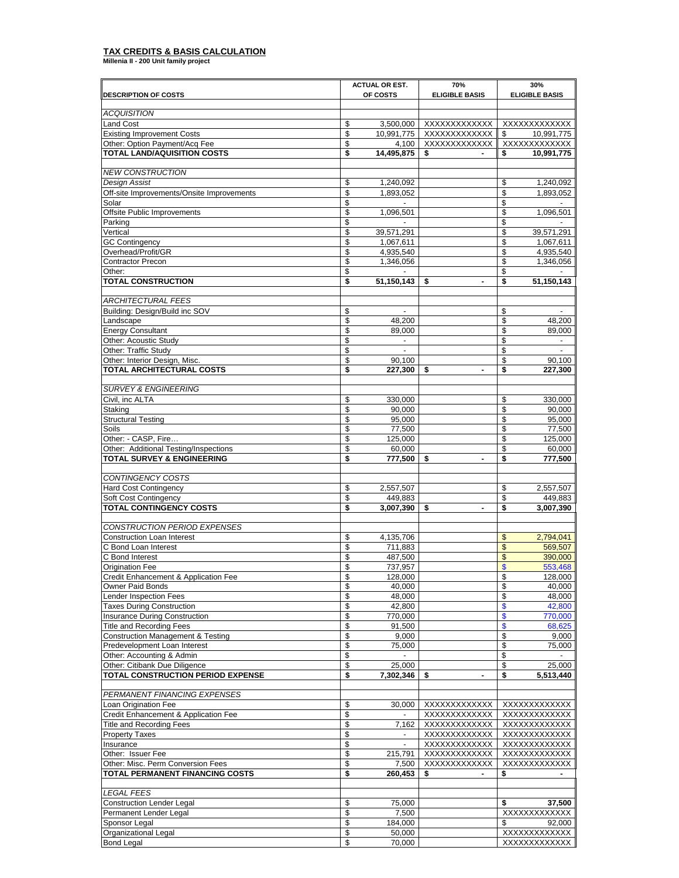# **TAX CREDITS & BASIS CALCULATION Millenia II - 200 Unit family project**

|                                                                                 |          | <b>ACTUAL OR EST.</b>   | 70%                            | 30%                           |
|---------------------------------------------------------------------------------|----------|-------------------------|--------------------------------|-------------------------------|
| <b>DESCRIPTION OF COSTS</b>                                                     |          | OF COSTS                | <b>ELIGIBLE BASIS</b>          | <b>ELIGIBLE BASIS</b>         |
|                                                                                 |          |                         |                                |                               |
| <b>ACQUISITION</b><br><b>Land Cost</b>                                          | \$       |                         | XXXXXXXXXXXX                   | XXXXXXXXXXXX                  |
| <b>Existing Improvement Costs</b>                                               | \$       | 3,500,000<br>10,991,775 | XXXXXXXXXXXXX                  | 10,991,775<br>\$              |
| Other: Option Payment/Acq Fee                                                   | \$       | 4,100                   | XXXXXXXXXXXX                   | XXXXXXXXXXXX                  |
| <b>TOTAL LAND/AQUISITION COSTS</b>                                              | \$       | 14,495,875              | \$                             | 10,991,775<br>\$              |
|                                                                                 |          |                         |                                |                               |
| <b>NEW CONSTRUCTION</b>                                                         |          |                         |                                |                               |
| Design Assist                                                                   | \$       | 1,240,092               |                                | 1,240,092<br>\$               |
| Off-site Improvements/Onsite Improvements                                       | \$       | 1.893.052               |                                | \$<br>1,893,052               |
| Solar<br><b>Offsite Public Improvements</b>                                     | \$       | $\mathbf{r}$            |                                | \$                            |
| Parking                                                                         | \$<br>\$ | 1,096,501               |                                | \$<br>1,096,501<br>\$         |
| Vertical                                                                        | \$       | 39,571,291              |                                | \$<br>39,571,291              |
| <b>GC</b> Contingency                                                           | \$       | 1,067,611               |                                | \$<br>1,067,611               |
| Overhead/Profit/GR                                                              | \$       | 4,935,540               |                                | \$<br>4,935,540               |
| <b>Contractor Precon</b>                                                        | \$       | 1,346,056               |                                | \$<br>1,346,056               |
| Other:                                                                          | \$       |                         |                                | \$                            |
| <b>TOTAL CONSTRUCTION</b>                                                       | \$       | 51,150,143              | \$<br>$\overline{\phantom{a}}$ | \$<br>51,150,143              |
|                                                                                 |          |                         |                                |                               |
| ARCHITECTURAL FEES                                                              |          |                         |                                |                               |
| Building: Design/Build inc SOV                                                  | \$       | $\blacksquare$          |                                | \$<br>$\sim$                  |
| Landscape<br><b>Energy Consultant</b>                                           | \$<br>\$ | 48,200<br>89,000        |                                | \$<br>48,200<br>\$<br>89,000  |
| Other: Acoustic Study                                                           | \$       | $\blacksquare$          |                                | \$<br>$\sim$                  |
| Other: Traffic Study                                                            | \$       |                         |                                | \$                            |
| Other: Interior Design, Misc.                                                   | \$       | 90.100                  |                                | \$<br>90,100                  |
| <b>TOTAL ARCHITECTURAL COSTS</b>                                                | \$       | 227,300                 | \$                             | \$<br>227,300                 |
|                                                                                 |          |                         |                                |                               |
| <b>SURVEY &amp; ENGINEERING</b>                                                 |          |                         |                                |                               |
| Civil, inc ALTA                                                                 | \$       | 330,000                 |                                | \$<br>330.000                 |
| Staking                                                                         | \$       | 90,000                  |                                | \$<br>90,000                  |
| <b>Structural Testing</b><br>Soils                                              | \$       | 95,000                  |                                | \$<br>95,000                  |
| Other: - CASP, Fire                                                             | \$<br>\$ | 77,500<br>125,000       |                                | \$<br>77,500<br>125,000<br>\$ |
| Other: Additional Testing/Inspections                                           | \$       | 60,000                  |                                | \$<br>60,000                  |
| <b>TOTAL SURVEY &amp; ENGINEERING</b>                                           | \$       | 777,500                 | \$<br>$\overline{a}$           | 777,500<br>\$                 |
|                                                                                 |          |                         |                                |                               |
| CONTINGENCY COSTS                                                               |          |                         |                                |                               |
| <b>Hard Cost Contingency</b>                                                    | \$       | 2,557,507               |                                | 2,557,507<br>\$               |
| Soft Cost Contingency                                                           | \$       | 449,883                 |                                | \$<br>449,883                 |
| TOTAL CONTINGENCY COSTS                                                         | \$       | 3,007,390               | \$<br>$\blacksquare$           | \$<br>3,007,390               |
| CONSTRUCTION PERIOD EXPENSES                                                    |          |                         |                                |                               |
| <b>Construction Loan Interest</b>                                               | \$       | 4,135,706               |                                | 2,794,041<br>\$               |
| C Bond Loan Interest                                                            | \$       | 711,883                 |                                | \$<br>569,507                 |
| C Bond Interest                                                                 | \$       | 487,500                 |                                | \$<br>390,000                 |
| <b>Origination Fee</b>                                                          | \$       | 737.957                 |                                | \$<br>553,468                 |
| Credit Enhancement & Application Fee                                            | 2        | 128,000                 |                                | P<br>128,000                  |
| Owner Paid Bonds                                                                | \$       | 40,000                  |                                | \$<br>40,000                  |
| Lender Inspection Fees                                                          | \$       | 48,000                  |                                | 48,000<br>\$                  |
| <b>Taxes During Construction</b>                                                | \$       | 42,800                  |                                | \$<br>42,800                  |
| Insurance During Construction                                                   | \$       | 770,000                 |                                | \$<br>770,000                 |
| <b>Title and Recording Fees</b><br><b>Construction Management &amp; Testing</b> | \$<br>\$ | 91,500<br>9,000         |                                | \$<br>68,625<br>\$<br>9,000   |
| Predevelopment Loan Interest                                                    | \$       | 75,000                  |                                | \$<br>75,000                  |
| Other: Accounting & Admin                                                       | \$       |                         |                                | \$                            |
| Other: Citibank Due Diligence                                                   | \$       | 25,000                  |                                | \$<br>25,000                  |
| TOTAL CONSTRUCTION PERIOD EXPENSE                                               | \$       | 7,302,346               | \$                             | \$<br>5,513,440               |
|                                                                                 |          |                         |                                |                               |
| PERMANENT FINANCING EXPENSES                                                    |          |                         |                                |                               |
| Loan Origination Fee                                                            | \$       | 30,000                  | XXXXXXXXXXXX                   | XXXXXXXXXXXX                  |
| Credit Enhancement & Application Fee                                            | \$       |                         | XXXXXXXXXXXX                   | XXXXXXXXXXXX                  |
| <b>Title and Recording Fees</b><br><b>Property Taxes</b>                        | \$<br>\$ | 7,162                   | XXXXXXXXXXXX<br>XXXXXXXXXXXX   | XXXXXXXXXXXX<br>XXXXXXXXXXXX  |
| Insurance                                                                       | \$       |                         | XXXXXXXXXXXX                   | XXXXXXXXXXXX                  |
| Other: Issuer Fee                                                               | \$       | 215,791                 | XXXXXXXXXXXX                   | XXXXXXXXXXXX                  |
| Other: Misc. Perm Conversion Fees                                               | \$       | 7,500                   | XXXXXXXXXXXX                   | XXXXXXXXXXXX                  |
| TOTAL PERMANENT FINANCING COSTS                                                 | \$       | 260,453                 | \$                             | \$                            |
|                                                                                 |          |                         |                                |                               |
| <b>LEGAL FEES</b>                                                               |          |                         |                                |                               |
| <b>Construction Lender Legal</b>                                                | \$       | 75,000                  |                                | 37,500<br>S                   |
| Permanent Lender Legal                                                          | \$       | 7,500                   |                                | XXXXXXXXXXXX                  |
| Sponsor Legal<br>Organizational Legal                                           | \$<br>\$ | 184,000<br>50,000       |                                | 92,000<br>S<br>XXXXXXXXXXXX   |
| <b>Bond Legal</b>                                                               | \$       | 70,000                  |                                | XXXXXXXXXXXX                  |
|                                                                                 |          |                         |                                |                               |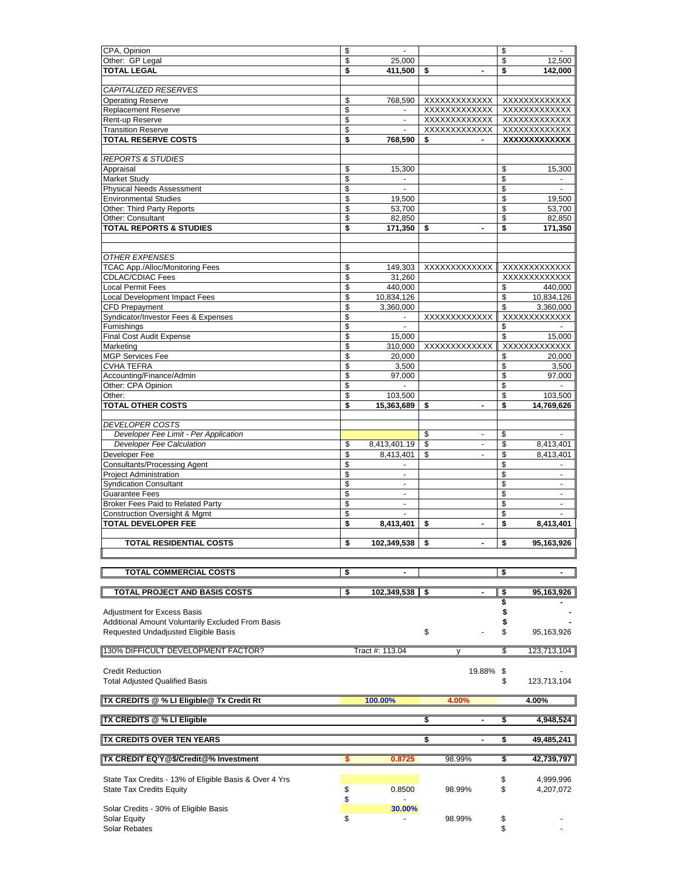| CPA, Opinion                                            | \$       |                   |                                | \$                            |
|---------------------------------------------------------|----------|-------------------|--------------------------------|-------------------------------|
| Other: GP Legal<br><b>TOTAL LEGAL</b>                   | \$<br>\$ | 25,000<br>411,500 | \$<br>$\overline{\phantom{a}}$ | \$<br>12,500<br>\$<br>142,000 |
|                                                         |          |                   |                                |                               |
| <i>CAPITALIZED RESERVES</i>                             |          |                   |                                |                               |
| <b>Operating Reserve</b>                                | \$       | 768,590           |                                | XXXXXXXXXXXXX XXXXXXXXXXXXX   |
| <b>Replacement Reserve</b>                              | \$       | $\sim$            | XXXXXXXXXXXXX                  | XXXXXXXXXXXX                  |
| Rent-up Reserve<br><b>Transition Reserve</b>            | \$<br>\$ | $\sim$            | XXXXXXXXXXXX<br>XXXXXXXXXXXX   | XXXXXXXXXXXX<br>XXXXXXXXXXXX  |
| <b>TOTAL RESERVE COSTS</b>                              | \$       | 768,590           | \$                             | XXXXXXXXXXXX                  |
|                                                         |          |                   |                                |                               |
| <b>REPORTS &amp; STUDIES</b>                            |          |                   |                                |                               |
| Appraisal                                               | \$       | 15,300            |                                | 15,300<br>\$                  |
| <b>Market Study</b><br><b>Physical Needs Assessment</b> | \$<br>\$ | $\blacksquare$    |                                | \$<br>\$                      |
| <b>Environmental Studies</b>                            | \$       | 19,500            |                                | \$<br>19,500                  |
| Other: Third Party Reports                              | \$       | 53,700            |                                | \$<br>53,700                  |
| Other: Consultant                                       | \$       | 82,850            |                                | 82,850<br>\$                  |
| <b>TOTAL REPORTS &amp; STUDIES</b>                      | \$       | 171,350           | $\overline{a}$<br>S            | 171,350<br>\$                 |
|                                                         |          |                   |                                |                               |
| <b>OTHER EXPENSES</b>                                   |          |                   |                                |                               |
| <b>TCAC App./Alloc/Monitoring Fees</b>                  | \$       | 149,303           | XXXXXXXXXXXXX                  | XXXXXXXXXXXX                  |
| <b>CDLAC/CDIAC Fees</b>                                 | \$       | 31,260            |                                | XXXXXXXXXXXX                  |
| <b>Local Permit Fees</b>                                | \$       | 440,000           |                                | \$<br>440,000                 |
| <b>Local Development Impact Fees</b>                    | \$       | 10,834,126        |                                | \$<br>10,834,126              |
| <b>CFD Prepayment</b>                                   | \$       | 3,360,000         |                                | 3,360,000<br>\$               |
| Syndicator/Investor Fees & Expenses                     | \$       | $\blacksquare$    | XXXXXXXXXXXX                   | XXXXXXXXXXXX                  |
| Furnishings<br>Final Cost Audit Expense                 | \$<br>\$ | $\sim$            |                                | \$<br>$\blacksquare$<br>\$    |
| Marketing                                               | \$       | 15,000<br>310,000 | XXXXXXXXXXXX                   | 15,000<br>XXXXXXXXXXXX        |
| <b>MGP Services Fee</b>                                 | \$       | 20,000            |                                | 20.000<br>\$                  |
| <b>CVHA TEFRA</b>                                       | \$       | 3,500             |                                | \$<br>3,500                   |
| Accounting/Finance/Admin                                | \$       | 97,000            |                                | \$<br>97,000                  |
| Other: CPA Opinion                                      | \$       |                   |                                | \$                            |
| Other:                                                  | \$       | 103,500           |                                | 103,500<br>\$                 |
| <b>TOTAL OTHER COSTS</b>                                | \$       | 15,363,689        | \$                             | 14,769,626<br>\$              |
| <b>DEVELOPER COSTS</b>                                  |          |                   |                                |                               |
| Developer Fee Limit - Per Application                   |          |                   | \$<br>$\blacksquare$           | \$                            |
| <b>Developer Fee Calculation</b>                        | \$       | 8,413,401.19      | \$                             | \$<br>8,413,401               |
| Developer Fee                                           | \$       | 8,413,401         | \$                             | \$<br>8,413,401               |
| <b>Consultants/Processing Agent</b>                     | \$       |                   |                                | \$                            |
| <b>Project Administration</b>                           | \$       | $\overline{a}$    |                                | \$                            |
| <b>Syndication Consultant</b>                           | \$       | $\mathbf{r}$      |                                | \$                            |
| Guarantee Fees                                          | \$       | $\sim$            |                                | \$<br>÷                       |
| Broker Fees Paid to Related Party                       | \$       | $\mathbf{r}$      |                                | \$<br>$\sim$                  |
| <b>Construction Oversight &amp; Mgmt</b>                | \$       | $\sim$            |                                | \$<br>$\overline{a}$          |
| <b>TOTAL DEVELOPER FEE</b>                              | \$       | 8,413,401         | $\blacksquare$<br>S            | \$<br>8,413,401               |
| <b>TOTAL RESIDENTIAL COSTS</b>                          | \$       | 102.349.538 \$    | ۰.                             | \$<br>95.163.926              |
|                                                         |          |                   |                                |                               |
|                                                         |          |                   |                                |                               |
| TOTAL COMMERCIAL COSTS                                  | \$       |                   |                                | \$                            |
| <b>TOTAL PROJECT AND BASIS COSTS</b>                    | \$       | 102,349,538       | \$                             | \$<br>95,163,926              |
|                                                         |          |                   |                                | \$                            |
| <b>Adjustment for Excess Basis</b>                      |          |                   |                                | \$                            |
| Additional Amount Voluntarily Excluded From Basis       |          |                   |                                | \$                            |
| Requested Undadjusted Eligible Basis                    |          |                   | \$                             | \$<br>95,163,926              |
|                                                         |          |                   |                                |                               |
| 130% DIFFICULT DEVELOPMENT FACTOR?                      |          | Tract #: 113.04   |                                | \$<br>123,713,104             |
| <b>Credit Reduction</b>                                 |          |                   | 19.88%                         | \$                            |
| <b>Total Adjusted Qualified Basis</b>                   |          |                   |                                | \$<br>123,713,104             |
|                                                         |          |                   |                                |                               |
| TX CREDITS @ % LI Eligible@ Tx Credit Rt                |          | 100.00%           | 4.00%                          | 4.00%                         |
| <b>TX CREDITS @ % LI Eligible</b>                       |          |                   | \$                             | 4,948,524<br>\$               |
| ∥TX CREDITS OVER TEN YEARS                              |          |                   | S                              | \$<br>49,485,241              |
| ∥TX CREDIT EQ'Y @\$/Credit @% Investment                |          |                   | 98.99%                         | \$<br>42,739,797              |
|                                                         |          |                   |                                |                               |
|                                                         |          | 0.8725            |                                |                               |
| State Tax Credits - 13% of Eligible Basis & Over 4 Yrs  |          |                   |                                | \$<br>4,999,996               |
| <b>State Tax Credits Equity</b>                         | \$       | 0.8500            | 98.99%                         | \$<br>4,207,072               |
|                                                         | \$       |                   |                                |                               |
| Solar Credits - 30% of Eligible Basis                   |          | 30.00%            |                                |                               |
| Solar Equity<br>Solar Rebates                           | \$       |                   | 98.99%                         | \$<br>\$                      |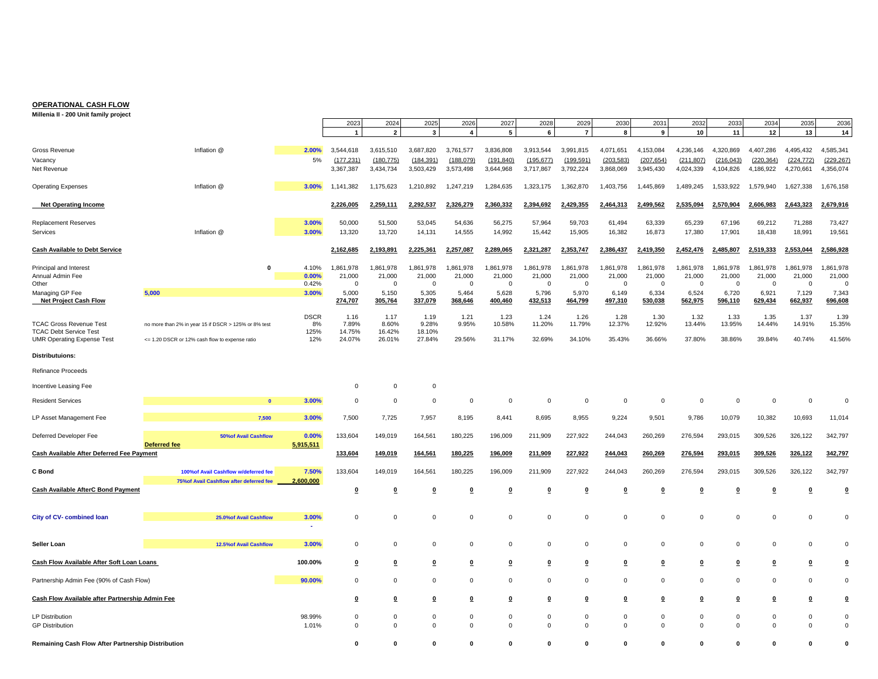#### **OPERATIONAL CASH FLOW**

**Millenia II - 200 Unit family project** 

|                                                                    |                                                                                   |                    | 2023                  | 2024                    | 2025                    | 2026                    | 2027                    | 2028                    | 2029                    | 2030                  | 2031                    | 2032         | 2033         | 2034                    | 2035                    | 2036               |
|--------------------------------------------------------------------|-----------------------------------------------------------------------------------|--------------------|-----------------------|-------------------------|-------------------------|-------------------------|-------------------------|-------------------------|-------------------------|-----------------------|-------------------------|--------------|--------------|-------------------------|-------------------------|--------------------|
|                                                                    |                                                                                   |                    | $\mathbf{1}$          | $\overline{2}$          | 3                       | $\overline{4}$          | 5                       | 6                       | $\overline{7}$          | 8                     | 9                       | 10           | 11           | 12                      | 13                      | 14                 |
| Gross Revenue                                                      | Inflation @                                                                       | 2.00%              | 3,544,618             | 3,615,510               | 3,687,820               | 3,761,577               | 3,836,808               | 3,913,544               | 3,991,815               | 4,071,651             | 4,153,084               | 4,236,146    | 4,320,869    | 4,407,286               | 4,495,432               | 4,585,341          |
| Vacancy                                                            |                                                                                   | 5%                 | (177.231)             | (180.775)               | (184, 391)              | (188.079)               | (191, 840)              | (195.677)               | (199.591)               | (203.583)             | (207, 654)              | (211, 807)   | (216.043)    | (220, 364)              | (224, 772)              | (229, 267)         |
| Net Revenue                                                        |                                                                                   |                    | 3,367,387             | 3,434,734               | 3,503,429               | 3,573,498               | 3,644,968               | 3,717,867               | 3,792,224               | 3,868,069             | 3,945,430               | 4,024,339    | 4,104,826    | 4,186,922               | 4,270,661               | 4,356,074          |
| <b>Operating Expenses</b>                                          | Inflation @                                                                       | 3.00%              | 1,141,382             | 1,175,623               | 1,210,892               | 1,247,219               | 1,284,635               | 1,323,175               | 1,362,870               | 1,403,756             | 1,445,869               | 1,489,245    | 1,533,922    | 1,579,940               | 1,627,338               | 1,676,158          |
| <b>Net Operating Income</b>                                        |                                                                                   |                    | 2,226,005             | 2,259,111               | 2,292,537               | ,326,279<br>2           | 2,360,332               | 2,394,692               | 429,355                 | 2,464,313             | 2,499,562               | 2,535,094    | ,570,904     | 2,606,983               | 2,643,323               | 2,679,916          |
| Replacement Reserves                                               |                                                                                   | 3.00%              | 50,000                | 51,500                  | 53,045                  | 54,636                  | 56,275                  | 57,964                  | 59,703                  | 61,494                | 63,339                  | 65,239       | 67,196       | 69,212                  | 71,288                  | 73,427             |
| Services                                                           | Inflation @                                                                       | 3.00%              | 13,320                | 13,720                  | 14,131                  | 14,555                  | 14,992                  | 15,442                  | 15,905                  | 16,382                | 16,873                  | 17,380       | 17,901       | 18,438                  | 18,991                  | 19,561             |
| <b>Cash Available to Debt Service</b>                              |                                                                                   |                    | 2,162,685             | 2,193,891               | 2,225,361               | 2,257,087               | 2,289,065               | 2,321,287               | 2,353,747               | 2,386,437             | 2,419,350               | 2,452,476    | ,485,807     | 2,519,333               | 2,553,044               | 2,586,928          |
| Principal and Interest                                             | $\mathbf{0}$                                                                      | 4.10%              | 1,861,978             | 1,861,978               | 1,861,978               | 1,861,978               | 1,861,978               | 1,861,978               | 1,861,978               | 1,861,978             | 1,861,978               | 1,861,978    | 1,861,978    | 1,861,978               | 1,861,978               | 1,861,978          |
| Annual Admin Fee                                                   |                                                                                   | 0.00%<br>0.42%     | 21.000<br>$\mathbf 0$ | 21,000                  | 21,000                  | 21,000<br>$\mathbf{0}$  | 21,000                  | 21,000                  | 21,000                  | 21,000<br>$\mathbf 0$ | 21,000<br>$\Omega$      | 21,000       | 21,000       | 21,000                  | 21,000                  | 21,000<br>$\Omega$ |
| Other<br>Managing GP Fee                                           | 5,000                                                                             | 3.00%              | 5,000                 | $^{\circ}$<br>5,150     | 0<br>5,305              | 5,464                   | 0<br>5,628              | $\mathbf 0$<br>5,796    | $\overline{0}$<br>5,970 | 6,149                 | 6,334                   | 0<br>6,524   | - 0<br>6,720 | 0<br>6,921              | $\mathbf 0$<br>7,129    | 7,343              |
| <b>Net Project Cash Flow</b>                                       |                                                                                   |                    | 274,707               | 305,764                 | 337,079                 | 368,646                 | 400,460                 | 432,513                 | 464,799                 | 497,310               | 530,038                 | 562,975      | 596,110      | 629,434                 | 662,937                 | 696,608            |
|                                                                    |                                                                                   | <b>DSCR</b>        | 1.16                  | 1.17                    | 1.19                    | 1.21                    | 1.23                    | 1.24                    | 1.26                    | 1.28                  | 1.30                    | 1.32         | 1.33         | 1.35                    | 1.37                    | 1.39               |
| <b>TCAC Gross Revenue Test</b>                                     | no more than 2% in year 15 if DSCR > 125% or 8% test                              | 8%                 | 7.89%                 | 8.60%                   | 9.28%                   | 9.95%                   | 10.58%                  | 11.20%                  | 11.79%                  | 12.37%                | 12.92%                  | 13.44%       | 13.95%       | 14.44%                  | 14.91%                  | 15.35%             |
| <b>TCAC Debt Service Test</b><br><b>UMR Operating Expense Test</b> | <= 1.20 DSCR or 12% cash flow to expense ratio                                    | 125%<br>12%        | 14.75%<br>24.07%      | 16.42%<br>26.01%        | 18.10%<br>27.84%        | 29.56%                  | 31.17%                  | 32.69%                  | 34.10%                  | 35.43%                | 36.66%                  | 37.80%       | 38.86%       | 39.84%                  | 40.74%                  | 41.56%             |
| <b>Distributuions:</b>                                             |                                                                                   |                    |                       |                         |                         |                         |                         |                         |                         |                       |                         |              |              |                         |                         |                    |
| Refinance Proceeds                                                 |                                                                                   |                    |                       |                         |                         |                         |                         |                         |                         |                       |                         |              |              |                         |                         |                    |
| Incentive Leasing Fee                                              |                                                                                   |                    | $\mathbf 0$           | $\mathbf 0$             | $\mathsf 0$             |                         |                         |                         |                         |                       |                         |              |              |                         |                         |                    |
| <b>Resident Services</b>                                           |                                                                                   | 3.00%              | $\mathbf 0$           | $\mathbf 0$             | $\mathbf 0$             | $\mathbf 0$             | $\mathbf 0$             | $\mathbf 0$             | $\overline{0}$          | $\mathbf 0$           | $\Omega$                | $\mathbf{0}$ | 0            | 0                       | $\mathbf 0$             | $\Omega$           |
| LP Asset Management Fee                                            | 7,500                                                                             | 3.00%              | 7,500                 | 7,725                   | 7,957                   | 8,195                   | 8,441                   | 8,695                   | 8,955                   | 9,224                 | 9,501                   | 9,786        | 10,079       | 10,382                  | 10,693                  | 11,014             |
| Deferred Developer Fee                                             | <b>50%of Avail Cashflow</b>                                                       | 0.00%              | 133,604               | 149,019                 | 164,561                 | 180,225                 | 196,009                 | 211,909                 | 227,922                 | 244,043               | 260,269                 | 276,594      | 293,015      | 309,526                 | 326,122                 | 342,797            |
| Cash Available After Deferred Fee Payment                          | <b>Deferred fee</b>                                                               | 5,915,511          | 133,604               | 149,019                 | 164,561                 | 180,225                 | 196,009                 | 211,909                 | 227,922                 | 244,043               | 260,269                 | 276,594      | 293,015      | 309,526                 | 326,122                 | 342,797            |
|                                                                    |                                                                                   |                    |                       |                         |                         |                         |                         |                         |                         |                       |                         |              |              |                         |                         |                    |
| C Bond                                                             | 100% of Avail Cashflow w/deferred fee<br>75% of Avail Cashflow after deferred fee | 7.50%<br>2,600,000 | 133,604               | 149,019                 | 164,561                 | 180,225                 | 196,009                 | 211,909                 | 227,922                 | 244,043               | 260,269                 | 276,594      | 293,015      | 309,526                 | 326,122                 | 342,797            |
| <b>Cash Available AfterC Bond Payment</b>                          |                                                                                   |                    | <u>0</u>              | $\overline{\mathbf{0}}$ | 0                       | $\overline{\mathbf{0}}$ | 0                       | $\overline{\mathbf{0}}$ | $\overline{\mathbf{0}}$ | 0                     | ₫                       | 0            | 0            | 0                       | ₫                       | 0                  |
|                                                                    |                                                                                   |                    |                       |                         |                         |                         |                         |                         |                         |                       |                         |              |              |                         |                         |                    |
| City of CV- combined loan                                          | 25.0% of Avail Cashflow                                                           | 3.00%              | $\mathbf 0$           | $\mathbf 0$             | $\mathbf 0$             | $\mathbf 0$             | $\mathbf 0$             | $\mathbf 0$             | $\mathbf 0$             | $\mathbf 0$           | $\mathbf 0$             | $\mathbf 0$  | $\mathbf 0$  | $\mathbf 0$             | $\mathbf 0$             | $\Omega$           |
| Seller Loan                                                        | 12.5% of Avail Cashflow                                                           | 3.00%              | $\mathbf 0$           | $\mathbf 0$             | $\mathbf 0$             | $\mathbf 0$             | $\mathbf 0$             | $\mathbf 0$             | $\mathbf 0$             | $\mathbf 0$           | $\mathbf 0$             | $\mathbf 0$  | $\mathbf 0$  | $\mathbf 0$             | $\mathbf 0$             | $\Omega$           |
| Cash Flow Available After Soft Loan Loans                          |                                                                                   | 100.00%            | 0                     | 0                       | $\overline{\mathbf{0}}$ | $\overline{\mathbf{0}}$ | $\overline{\mathbf{0}}$ | 0                       | $\Omega$                | 0                     | 0                       | 0            | 0            | $\overline{\mathbf{0}}$ | $\overline{\mathbf{0}}$ | $\mathbf 0$        |
|                                                                    |                                                                                   |                    |                       |                         |                         |                         |                         |                         |                         |                       |                         |              |              |                         |                         |                    |
| Partnership Admin Fee (90% of Cash Flow)                           |                                                                                   | 90.00%             | $\mathbf 0$           | $\mathbf 0$             | $\mathbf 0$             | $\mathbf 0$             | $\mathbf 0$             | $\mathbf 0$             | $\mathbf 0$             | $\mathbf 0$           | $\mathbf 0$             | $\mathbf 0$  | $\mathbf 0$  | $\mathbf 0$             | $\mathbf 0$             | $\mathbf 0$        |
| Cash Flow Available after Partnership Admin Fee                    |                                                                                   |                    | 0                     | $\bf{0}$                | $\overline{\mathbf{0}}$ | $\bf{0}$                | 0                       | 0                       | $\overline{\mathbf{0}}$ | $\bf{0}$              | $\overline{\mathbf{0}}$ | $\mathbf 0$  | 0            | 0                       | $\overline{\mathbf{0}}$ | $\mathbf 0$        |
| <b>LP Distribution</b>                                             |                                                                                   | 98.99%             | $\mathbf 0$           | $\mathbf 0$             | $\mathbf 0$             | $\mathsf 0$             | $\mathbf 0$             | $\mathbf 0$             | $\mathbf 0$             | $\mathbf 0$           | $\mathbf 0$             | $\mathbf 0$  | $\mathbf 0$  | $\mathbf 0$             | $\mathbf 0$             | $\mathbf 0$        |
| <b>GP Distribution</b>                                             |                                                                                   | 1.01%              | $\mathbf 0$           | $\Omega$                | $\Omega$                | $\overline{0}$          | $\Omega$                | $\Omega$                | $\mathbf 0$             | $\mathbf 0$           | $\Omega$                | $\mathbf 0$  | $\mathbf 0$  | $\mathbf 0$             | $\mathbf 0$             | $\mathbf 0$        |
| Remaining Cash Flow After Partnership Distribution                 |                                                                                   |                    | O                     | 0                       | O                       | n                       | O                       | O                       | O                       | O                     |                         | O            | O            | O                       | $\Omega$                | $\Omega$           |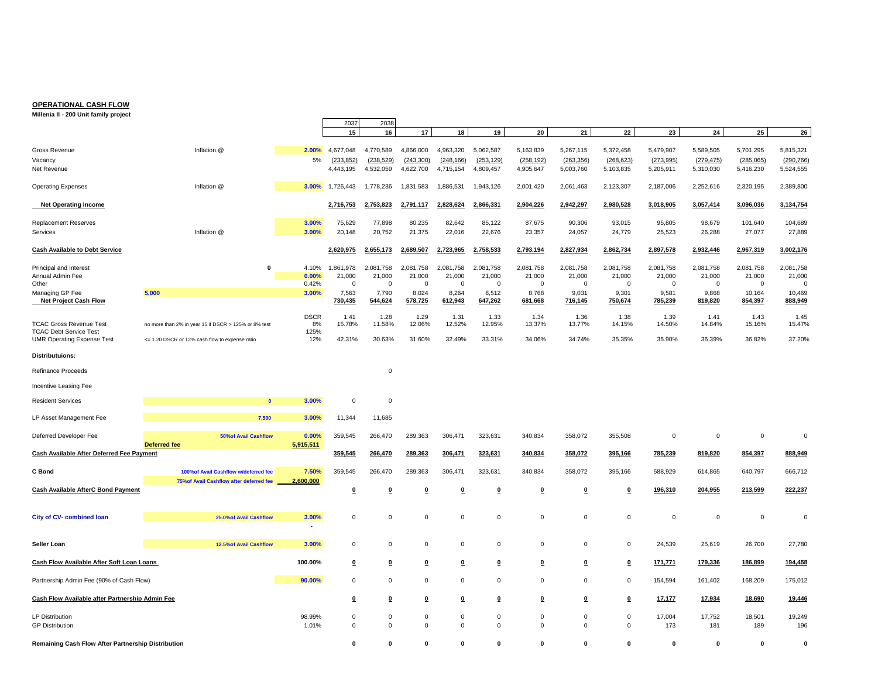#### **OPERATIONAL CASH FLOW**

**Millenia II - 200 Unit family project** 

|                                                                    |                                                      |                | 2037                    | 2038                    |                         |                         |                         |                         |                      |                         |                      |                      |                       |                    |
|--------------------------------------------------------------------|------------------------------------------------------|----------------|-------------------------|-------------------------|-------------------------|-------------------------|-------------------------|-------------------------|----------------------|-------------------------|----------------------|----------------------|-----------------------|--------------------|
|                                                                    |                                                      |                | 15                      | 16                      | 17                      | 18                      | 19                      | 20                      | 21                   | 22                      | 23                   | 24                   | 25                    | 26                 |
| Gross Revenue                                                      | Inflation @                                          | 2.00%          | 4,677,048               | 4,770,589               | 4,866,000               | 4,963,320               | 5,062,587               | 5,163,839               | 5,267,115            | 5,372,458               | 5,479,907            | 5,589,505            | 5,701,295             | 5,815,321          |
| Vacancy                                                            |                                                      | 5%             | (233, 852)              | (238, 529)              | (243, 300)              | (248, 166)              | (253, 129)              | (258, 192)              | (263, 356)           | (268, 623)              | (273, 995)           | (279, 475)           | (285,065)             | (290, 766)         |
| Net Revenue                                                        |                                                      |                | 4,443,195               | 4,532,059               | 4,622,700               | 4,715,154               | 4,809,457               | 4,905,647               | 5,003,760            | 5,103,835               | 5,205,911            | 5,310,030            | 5,416,230             | 5,524,555          |
| <b>Operating Expenses</b>                                          | Inflation @                                          | 3.00%          | 1,726,443               | 1,778,236               | 1,831,583               | 1,886,531               | 1,943,126               | 2,001,420               | 2,061,463            | 2,123,307               | 2,187,006            | 2,252,616            | 2,320,195             | 2,389,800          |
| <b>Net Operating Income</b>                                        |                                                      |                | 2,716,753               | 2,753,823               | 2,791,117               | 2,828,624               | 2,866,331               | 2,904,226               | 2,942,297            | 2,980,528               | 3,018,905            | 3,057,414            | 3,096,036             | 3,134,754          |
| <b>Replacement Reserves</b>                                        |                                                      | 3.00%          | 75,629                  | 77,898                  | 80,235                  | 82,642                  | 85,122                  | 87,675                  | 90,306               | 93,015                  | 95,805               | 98,679               | 101,640               | 104,689            |
| Services                                                           | Inflation @                                          | 3.00%          | 20,148                  | 20,752                  | 21,375                  | 22,016                  | 22,676                  | 23,357                  | 24,057               | 24,779                  | 25,523               | 26,288               | 27,077                | 27,889             |
| Cash Available to Debt Service                                     |                                                      |                | 2,620,975               | 2,655,173               | 2,689,507               | 2,723,965               | 2,758,533               | 2,793,194               | 2,827,934            | 2,862,734               | 2,897,578            | 2,932,446            | 2,967,319             | 3,002,176          |
| Principal and Interest                                             | $\mathbf 0$                                          | 4.10%          | 1,861,978               | 2,081,758               | 2,081,758               | 2,081,758               | 2,081,758               | 2,081,758               | 2,081,758            | 2,081,758               | 2,081,758            | 2,081,758            | 2,081,758             | 2,081,758          |
| Annual Admin Fee                                                   |                                                      | 0.00%          | 21,000                  | 21,000                  | 21.000                  | 21.000                  | 21,000                  | 21,000                  | 21,000               | 21,000                  | 21,000               | 21,000               | 21,000                | 21,000             |
| Other<br>Managing GP Fee                                           | 5,000                                                | 0.42%<br>3.00% | $\mathbf 0$<br>7,563    | $\mathbf 0$<br>7,790    | $\mathbf 0$<br>8,024    | $\mathbf 0$<br>8,264    | $\mathbf 0$<br>8,512    | $\mathbf 0$<br>8,768    | $\mathbf 0$<br>9,031 | $\mathbf 0$<br>9,301    | $\mathsf 0$<br>9,581 | $\mathbf 0$<br>9,868 | $\mathbf 0$<br>10,164 | $\Omega$<br>10,469 |
| <b>Net Project Cash Flow</b>                                       |                                                      |                | 730,435                 | 544,624                 | 578,725                 | 612,943                 | 647,262                 | 681,668                 | 716,145              | 750,674                 | 785,239              | 819,820              | 854,397               | 888,949            |
|                                                                    |                                                      | <b>DSCR</b>    | 1.41                    | 1.28                    | 1.29                    | 1.31                    | 1.33                    | 1.34                    | 1.36                 | 1.38                    | 1.39                 | 1.41                 | 1.43                  | 1.45               |
| <b>TCAC Gross Revenue Test</b>                                     | no more than 2% in year 15 if DSCR > 125% or 8% test | 8%             | 15.78%                  | 11.58%                  | 12.06%                  | 12.52%                  | 12.95%                  | 13.37%                  | 13.77%               | 14.15%                  | 14.50%               | 14.84%               | 15.16%                | 15.47%             |
| <b>TCAC Debt Service Test</b><br><b>UMR Operating Expense Test</b> | <= 1.20 DSCR or 12% cash flow to expense ratio       | 125%<br>12%    | 42.31%                  | 30.63%                  | 31.60%                  | 32.49%                  | 33.31%                  | 34.06%                  | 34.74%               | 35.35%                  | 35.90%               | 36.39%               | 36.82%                | 37.20%             |
| Distributuions:                                                    |                                                      |                |                         |                         |                         |                         |                         |                         |                      |                         |                      |                      |                       |                    |
| <b>Refinance Proceeds</b>                                          |                                                      |                |                         | $\mathbf 0$             |                         |                         |                         |                         |                      |                         |                      |                      |                       |                    |
| Incentive Leasing Fee                                              |                                                      |                |                         |                         |                         |                         |                         |                         |                      |                         |                      |                      |                       |                    |
| <b>Resident Services</b>                                           | $\bf{0}$                                             | 3.00%          | $\mathsf{O}\xspace$     | $\pmb{0}$               |                         |                         |                         |                         |                      |                         |                      |                      |                       |                    |
| LP Asset Management Fee                                            | 7,500                                                | 3.00%          | 11,344                  | 11,685                  |                         |                         |                         |                         |                      |                         |                      |                      |                       |                    |
| Deferred Developer Fee                                             | <b>50%of Avail Cashflow</b>                          | 0.00%          | 359,545                 | 266,470                 | 289,363                 | 306,471                 | 323,631                 | 340,834                 | 358,072              | 355,508                 | $\,0\,$              | $\mathsf 0$          | $\mathbf 0$           | $\mathbf 0$        |
|                                                                    | <b>Deferred fee</b>                                  | 5,915,511      |                         |                         |                         |                         |                         |                         |                      |                         |                      |                      |                       |                    |
| Cash Available After Deferred Fee Payment                          |                                                      |                | 359,545                 | 266,470                 | 289,363                 | 306,471                 | 323,631                 | 340,834                 | 358,072              | 395,166                 | 785,239              | 819,820              | 854,397               | 888,949            |
| C Bond                                                             | 100% of Avail Cashflow w/deferred fee                | 7.50%          | 359,545                 | 266,470                 | 289,363                 | 306,471                 | 323,631                 | 340,834                 | 358,072              | 395,166                 | 588,929              | 614,865              | 640,797               | 666,712            |
| <b>Cash Available AfterC Bond Payment</b>                          | 75% of Avail Cashflow after deferred fee             | 2,600,000      |                         | $\overline{\mathbf{0}}$ | $\overline{\mathbf{0}}$ | $\overline{\mathbf{0}}$ | $\bf{0}$                | $\overline{\mathbf{0}}$ | ◐                    | $\overline{\mathbf{0}}$ | 196,310              | 204,955              | 213,599               | 222,237            |
|                                                                    |                                                      |                | $\overline{\mathbf{0}}$ |                         |                         |                         |                         |                         |                      |                         |                      |                      |                       |                    |
|                                                                    |                                                      |                |                         | $\Omega$                | $\Omega$                |                         |                         | $\Omega$                |                      |                         |                      |                      | $\Omega$              | $\Omega$           |
| City of CV- combined loan                                          | 25.0% of Avail Cashflow                              | 3.00%<br>٠     | $\mathbf 0$             |                         |                         | $\,0\,$                 | $\Omega$                |                         | $\mathbf 0$          | $\mathbf 0$             | $\,0\,$              | $\mathbf 0$          |                       |                    |
|                                                                    |                                                      |                |                         |                         |                         |                         |                         |                         |                      |                         |                      |                      |                       |                    |
| Seller Loan                                                        | 12.5% of Avail Cashflow                              | 3.00%          | $\mathbf 0$             | $\mathbf 0$             | $\mathbf 0$             | $\mathbf 0$             | $\Omega$                | 0                       | $\mathbf 0$          | $\mathbf 0$             | 24,539               | 25,619               | 26,700                | 27,780             |
| Cash Flow Available After Soft Loan Loans                          |                                                      | 100.00%        | $\Omega$                | $\overline{\mathbf{0}}$ | $\overline{\mathbf{0}}$ | $\Omega$                | $\overline{\mathbf{0}}$ | $\overline{\mathbf{0}}$ | $\Omega$             | $\overline{\mathbf{0}}$ | 171,771              | 179,336              | 186,899               | 194,458            |
| Partnership Admin Fee (90% of Cash Flow)                           |                                                      | 90.00%         | 0                       | $\mathbf 0$             | $\mathbf 0$             | $\mathbf 0$             | $\mathbf 0$             | $\mathbf 0$             | $\mathbf 0$          | $\mathbf 0$             | 154,594              | 161,402              | 168,209               | 175,012            |
| Cash Flow Available after Partnership Admin Fee                    |                                                      |                | $\pmb{0}$               | $\overline{\mathbf{0}}$ | $\overline{\mathbf{0}}$ | $\overline{\mathbf{0}}$ | $\overline{\mathbf{0}}$ | ₫                       | $\Omega$             | $\pmb{0}$               | 17,177               | 17,934               | 18,690                | 19,446             |
| <b>LP Distribution</b>                                             |                                                      | 98.99%         | $\mathbf 0$             | $\mathbf 0$             | $\mathbf 0$             | $\mathbf 0$             | $\mathbf 0$             | $\mathbf 0$             | $\mathbf 0$          | $\mathbf 0$             | 17,004               | 17,752               | 18,501                | 19,249             |
| <b>GP Distribution</b>                                             |                                                      | 1.01%          | $\mathsf 0$             | $\mathbf 0$             | $\mathsf 0$             | $\mathbf 0$             | $\mathbf 0$             | $\mathbf 0$             | $\mathsf 0$          | $\mathsf 0$             | 173                  | 181                  | 189                   | 196                |
| Remaining Cash Flow After Partnership Distribution                 |                                                      |                | 0                       | 0                       | $\bf{0}$                | $\bf{0}$                | $\bf{0}$                | $\bf{0}$                | $\mathbf{0}$         | $\mathbf 0$             | $\bf{0}$             | $\mathbf{0}$         | $\mathbf{0}$          | $\mathbf 0$        |

 $\overline{a}$ 

—<br>————

щ.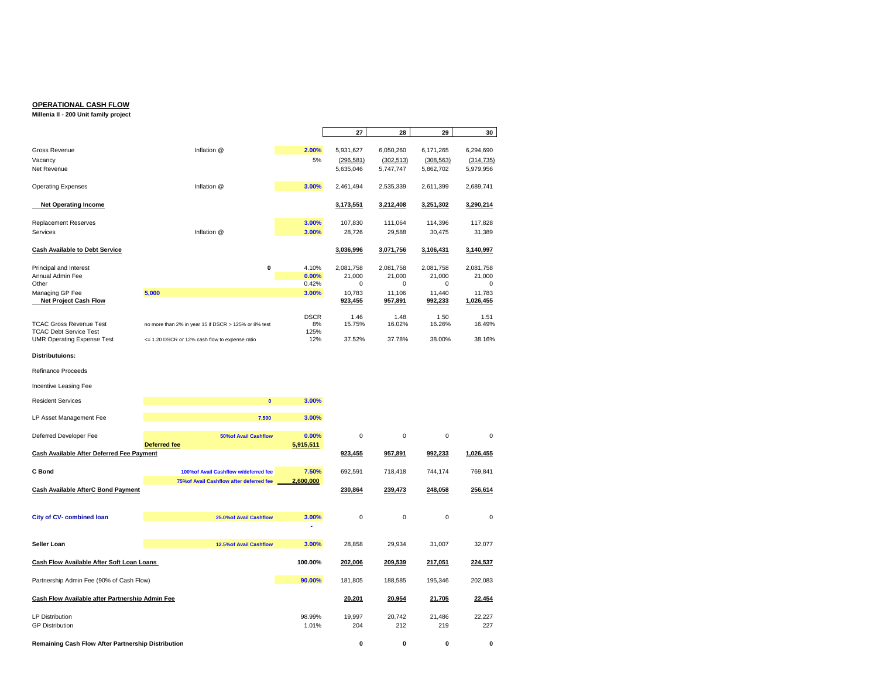#### **OPERATIONAL CASH FLOW**

#### **Millenia II - 200 Unit family project**

|                                                    |                                                      |                | 27                  | 28                  | 29                  | 30                  |
|----------------------------------------------------|------------------------------------------------------|----------------|---------------------|---------------------|---------------------|---------------------|
| Gross Revenue                                      | Inflation @                                          | 2.00%          | 5,931,627           | 6,050,260           | 6,171,265           | 6,294,690           |
| Vacancy                                            |                                                      | 5%             | (296, 581)          | (302, 513)          | (308, 563)          | (314, 735)          |
| Net Revenue                                        |                                                      |                | 5,635,046           | 5,747,747           | 5,862,702           | 5,979,956           |
|                                                    |                                                      |                |                     |                     |                     |                     |
| <b>Operating Expenses</b>                          | Inflation @                                          | 3.00%          | 2,461,494           | 2,535,339           | 2,611,399           | 2,689,741           |
| <b>Net Operating Income</b>                        |                                                      |                | 3,173,551           | 3,212,408           | 3,251,302           | 3,290,214           |
|                                                    |                                                      |                |                     |                     |                     |                     |
| <b>Replacement Reserves</b>                        |                                                      | 3.00%          | 107,830             | 111,064             | 114,396             | 117,828             |
| Services                                           | Inflation @                                          | 3.00%          | 28,726              | 29,588              | 30,475              | 31,389              |
| <b>Cash Available to Debt Service</b>              |                                                      |                | 3,036,996           | 3,071,756           | 3,106,431           | 3,140,997           |
|                                                    |                                                      |                |                     |                     |                     |                     |
| Principal and Interest<br>Annual Admin Fee         | 0                                                    | 4.10%<br>0.00% | 2,081,758<br>21,000 | 2,081,758<br>21,000 | 2.081.758<br>21,000 | 2,081,758<br>21,000 |
| Other                                              |                                                      | 0.42%          | $\mathbf 0$         | 0                   | $\mathbf 0$         | 0                   |
| Managing GP Fee                                    | 5,000                                                | 3.00%          | 10,783              | 11,106              | 11,440              | 11,783              |
| <b>Net Project Cash Flow</b>                       |                                                      |                | 923,455             | 957,891             | 992,233             | 1,026,455           |
|                                                    |                                                      | <b>DSCR</b>    | 1.46                | 1.48                | 1.50                | 1.51                |
| <b>TCAC Gross Revenue Test</b>                     | no more than 2% in year 15 if DSCR > 125% or 8% test | 8%             | 15.75%              | 16.02%              | 16.26%              | 16.49%              |
| <b>TCAC Debt Service Test</b>                      |                                                      | 125%           |                     |                     |                     |                     |
| <b>UMR Operating Expense Test</b>                  | <= 1.20 DSCR or 12% cash flow to expense ratio       | 12%            | 37.52%              | 37.78%              | 38.00%              | 38.16%              |
| <b>Distributuions:</b>                             |                                                      |                |                     |                     |                     |                     |
| <b>Refinance Proceeds</b>                          |                                                      |                |                     |                     |                     |                     |
| Incentive Leasing Fee                              |                                                      |                |                     |                     |                     |                     |
| <b>Resident Services</b>                           | $\mathbf{0}$                                         | 3.00%          |                     |                     |                     |                     |
| LP Asset Management Fee                            | 7,500                                                | 3.00%          |                     |                     |                     |                     |
| Deferred Developer Fee                             | <b>50%of Avail Cashflow</b>                          | 0.00%          | $\bf 0$             | $\mathbf 0$         | $\mathsf 0$         | $\mathbf 0$         |
|                                                    | Deferred fee                                         | 5,915,511      |                     |                     |                     |                     |
| Cash Available After Deferred Fee Payment          |                                                      |                | 923,455             | 957,891             | 992,233             | 1,026,455           |
| C Bond                                             | 100% of Avail Cashflow w/deferred fee                | 7.50%          | 692,591             | 718,418             | 744,174             | 769,841             |
|                                                    | 75% of Avail Cashflow after deferred fee             | 2,600,000      |                     |                     |                     |                     |
| <b>Cash Available AfterC Bond Payment</b>          |                                                      |                | 230,864             | 239,473             | 248,058             | 256,614             |
|                                                    |                                                      |                |                     |                     |                     |                     |
| City of CV- combined loan                          | 25.0% of Avail Cashflow                              | 3.00%          | 0                   | 0                   | $\mathsf 0$         | $\Omega$            |
|                                                    |                                                      |                |                     |                     |                     |                     |
| Seller Loan                                        | 12.5% of Avail Cashflow                              | 3.00%          | 28,858              | 29,934              | 31,007              | 32,077              |
| Cash Flow Available After Soft Loan Loans          |                                                      | 100.00%        | 202,006             | 209,539             | 217,051             | 224,537             |
| Partnership Admin Fee (90% of Cash Flow)           |                                                      | 90.00%         | 181,805             | 188,585             | 195,346             | 202,083             |
| Cash Flow Available after Partnership Admin Fee    |                                                      |                | 20,201              | 20,954              | 21,705              | 22,454              |
|                                                    |                                                      |                |                     |                     |                     |                     |
| <b>LP Distribution</b>                             |                                                      | 98.99%         | 19.997              | 20.742              | 21.486              | 22.227              |
| <b>GP Distribution</b>                             |                                                      | 1.01%          | 204                 | 212                 | 219                 | 227                 |
| Remaining Cash Flow After Partnership Distribution |                                                      |                | $\bf{0}$            | O                   | $\mathbf{0}$        | $\Omega$            |